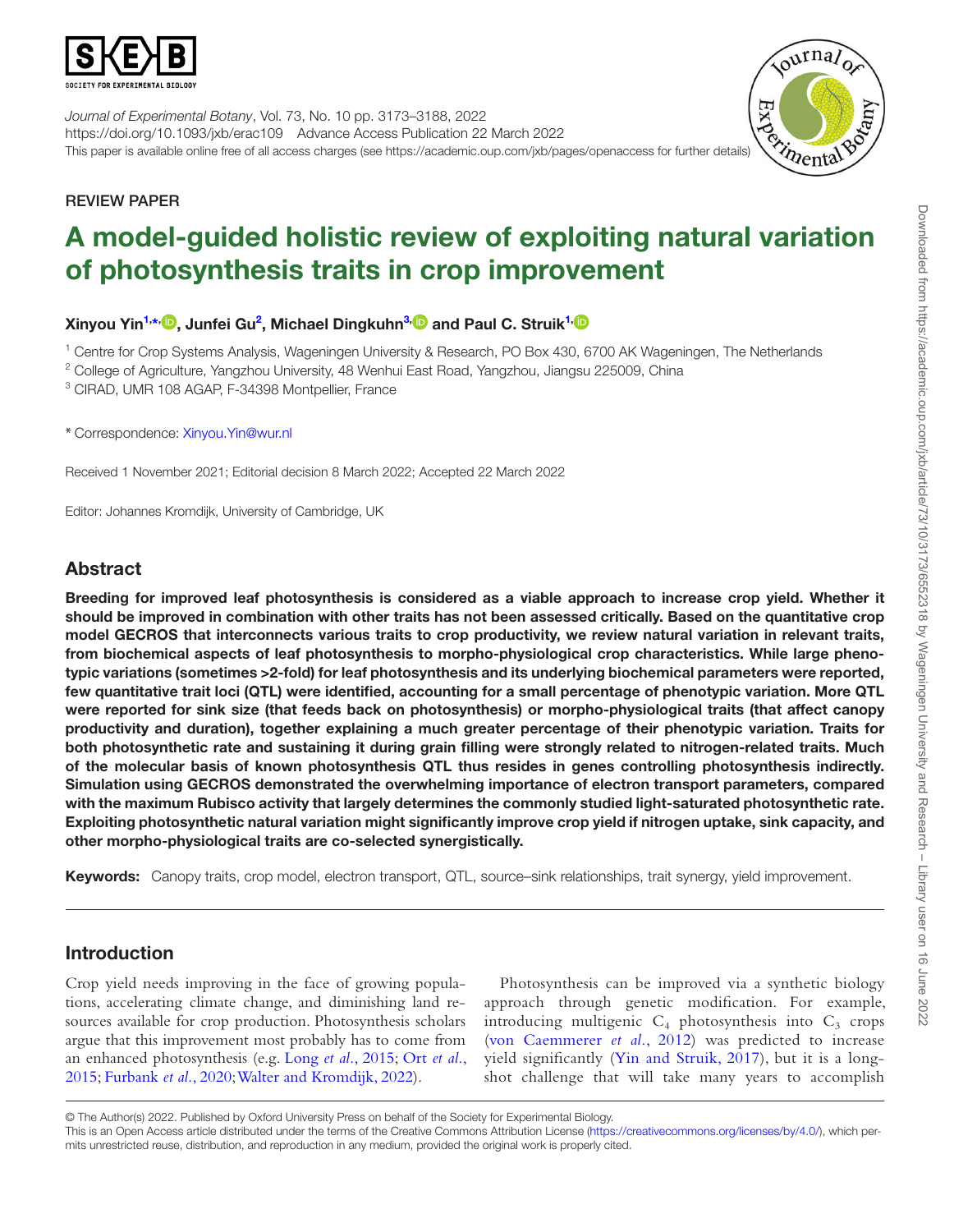

*Journal of Experimental Botany*, Vol. 73, No. 10 pp. 3173–3188, 2022 https://doi.org/10.1093/jxb/erac109 Advance Access Publication 22 March 2022 Journal of Experimental Botany, Vol. 13, No. 10 pp. 0110 01121.<br>https://doi.org/10.1093/jxb/erac109 Advance Access Publication 22 March 2022<br>This paper is available online free of all access charges (see https://academic.o



# REVIEW PAPER

# A model-guided holistic review of exploiting natural variation of photosynthesis traits in crop improvement

Xinyou Yin<sup>[1,](#page-0-0)</sup>\*<sup>, ()</sup>, Junfei Gu<sup>2</sup>, Michael Dingkuhn<sup>3, ()</sup> and Paul C. Struik<sup>1,</sup>

<span id="page-0-0"></span>1 Centre for Crop Systems Analysis, Wageningen University & Research, PO Box 430, 6700 AK Wageningen, The Netherlands

<span id="page-0-2"></span><sup>2</sup> College of Agriculture, Yangzhou University, 48 Wenhui East Road, Yangzhou, Jiangsu 225009, China

<span id="page-0-3"></span>3 CIRAD, UMR 108 AGAP, F-34398 Montpellier, France

<span id="page-0-1"></span>\* Correspondence: [Xinyou.Yin@wur.nl](mailto:Xinyou.Yin@wur.nl?subject=)

Received 1 November 2021; Editorial decision 8 March 2022; Accepted 22 March 2022

Editor: Johannes Kromdijk, University of Cambridge, UK

# Abstract

Breeding for improved leaf photosynthesis is considered as a viable approach to increase crop yield. Whether it should be improved in combination with other traits has not been assessed critically. Based on the quantitative crop model GECROS that interconnects various traits to crop productivity, we review natural variation in relevant traits, from biochemical aspects of leaf photosynthesis to morpho-physiological crop characteristics. While large phenotypic variations (sometimes >2-fold) for leaf photosynthesis and its underlying biochemical parameters were reported, few quantitative trait loci (QTL) were identified, accounting for a small percentage of phenotypic variation. More QTL were reported for sink size (that feeds back on photosynthesis) or morpho-physiological traits (that affect canopy productivity and duration), together explaining a much greater percentage of their phenotypic variation. Traits for both photosynthetic rate and sustaining it during grain filling were strongly related to nitrogen-related traits. Much of the molecular basis of known photosynthesis QTL thus resides in genes controlling photosynthesis indirectly. Simulation using GECROS demonstrated the overwhelming importance of electron transport parameters, compared with the maximum Rubisco activity that largely determines the commonly studied light-saturated photosynthetic rate. Exploiting photosynthetic natural variation might significantly improve crop yield if nitrogen uptake, sink capacity, and other morpho-physiological traits are co-selected synergistically.

Keywords: Canopy traits, crop model, electron transport, QTL, source–sink relationships, trait synergy, yield improvement.

# Introduction

Crop yield needs improving in the face of growing populations, accelerating climate change, and diminishing land resources available for crop production. Photosynthesis scholars argue that this improvement most probably has to come from an enhanced photosynthesis (e.g. Long *et al.*[, 2015](#page-14-0); Ort *[et al.](#page-14-1)*, [2015;](#page-14-1) [Furbank](#page-13-0) *et al.*, 2020; [Walter and Kromdijk, 2022](#page-15-0)).

Photosynthesis can be improved via a synthetic biology approach through genetic modification. For example, introducing multigenic  $C_4$  photosynthesis into  $C_3$  crops [\(von Caemmerer](#page-15-1) *et al.*, 2012) was predicted to increase yield significantly ([Yin and Struik, 2017](#page-15-2)), but it is a longshot challenge that will take many years to accomplish

© The Author(s) 2022. Published by Oxford University Press on behalf of the Society for Experimental Biology.

This is an Open Access article distributed under the terms of the Creative Commons Attribution License (<https://creativecommons.org/licenses/by/4.0/>), which permits unrestricted reuse, distribution, and reproduction in any medium, provided the original work is properly cited.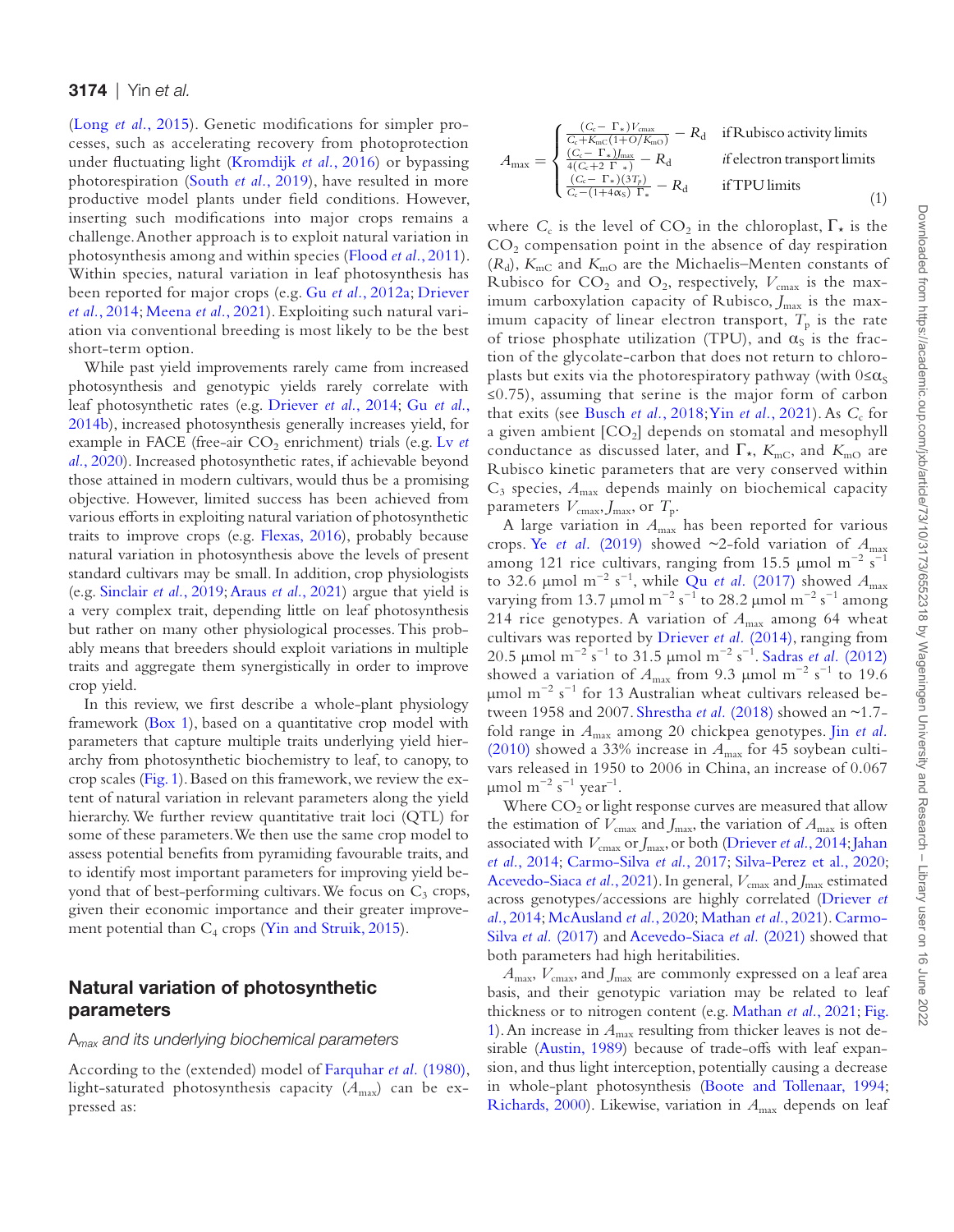(Long *et al.*[, 2015\)](#page-14-0). Genetic modifications for simpler processes, such as accelerating recovery from photoprotection under fluctuating light ([Kromdijk](#page-14-2) *et al.*, 2016) or bypassing photorespiration ([South](#page-15-3) *et al.*, 2019), have resulted in more productive model plants under field conditions. However, inserting such modifications into major crops remains a challenge. Another approach is to exploit natural variation in photosynthesis among and within species ([Flood](#page-13-1) *et al.*, 2011). Within species, natural variation in leaf photosynthesis has been reported for major crops (e.g. Gu *et al.*[, 2012a](#page-13-2); [Driever](#page-12-0)  *et al.*[, 2014](#page-12-0); [Meena](#page-14-3) *et al.*, 2021). Exploiting such natural variation via conventional breeding is most likely to be the best short-term option.

While past yield improvements rarely came from increased photosynthesis and genotypic yields rarely correlate with leaf photosynthetic rates (e.g. [Driever](#page-12-0) *et al.*, 2014; Gu *[et al.](#page-13-3)*, [2014b\)](#page-13-3), increased photosynthesis generally increases yield, for example in FACE (free-air CO<sub>2</sub> enrichment) trials (e.g. [Lv](#page-14-4) *et al.*[, 2020](#page-14-4)). Increased photosynthetic rates, if achievable beyond those attained in modern cultivars, would thus be a promising objective. However, limited success has been achieved from various efforts in exploiting natural variation of photosynthetic traits to improve crops (e.g. [Flexas, 2016](#page-13-4)), probably because natural variation in photosynthesis above the levels of present standard cultivars may be small. In addition, crop physiologists (e.g. [Sinclair](#page-15-4) *et al.*, 2019; [Araus](#page-12-1) *et al.*, 2021) argue that yield is a very complex trait, depending little on leaf photosynthesis but rather on many other physiological processes. This probably means that breeders should exploit variations in multiple traits and aggregate them synergistically in order to improve crop yield.

In this review, we first describe a whole-plant physiology framework ([Box 1](#page-2-0)), based on a quantitative crop model with parameters that capture multiple traits underlying yield hierarchy from photosynthetic biochemistry to leaf, to canopy, to crop scales [\(Fig. 1\)](#page-3-0). Based on this framework, we review the extent of natural variation in relevant parameters along the yield hierarchy. We further review quantitative trait loci (QTL) for some of these parameters. We then use the same crop model to assess potential benefits from pyramiding favourable traits, and to identify most important parameters for improving yield beyond that of best-performing cultivars. We focus on  $C_3$  crops, given their economic importance and their greater improvement potential than  $C_4$  crops [\(Yin and Struik, 2015](#page-15-5)).

# Natural variation of photosynthetic parameters

#### A*max and its underlying biochemical parameters*

According to the (extended) model of [Farquhar](#page-13-5) *et al.* (1980), light-saturated photosynthesis capacity  $(A<sub>max</sub>)$  can be expressed as:

$$
A_{\max} = \begin{cases} \frac{(C_c - \Gamma_*)V_{\max}}{C_c + K_{\max}(1 + O/K_{\max})} - R_d & \text{if Rubisco activity limits} \\ \frac{(C_c - \Gamma_*)J_{\max}}{4(C_c + 2 \Gamma_*)} - R_d & \text{if electron transport limits} \\ \frac{(C_c - \Gamma_*)(3T_p)}{C_c - (1 + 4\alpha_S) \Gamma_*} - R_d & \text{if TPU limits} \end{cases}
$$
(1)

where  $C_c$  is the level of  $CO_2$  in the chloroplast,  $\Gamma_{\star}$  is the  $CO<sub>2</sub>$  compensation point in the absence of day respiration  $(R_d)$ ,  $K_{\text{mC}}$  and  $K_{\text{mO}}$  are the Michaelis–Menten constants of Rubisco for  $CO_2$  and  $O_2$ , respectively,  $V_{\text{cmax}}$  is the maximum carboxylation capacity of Rubisco, *J*<sub>max</sub> is the maximum capacity of linear electron transport,  $T_p$  is the rate of triose phosphate utilization (TPU), and  $\alpha_s$  is the fraction of the glycolate-carbon that does not return to chloroplasts but exits via the photorespiratory pathway (with  $0 \le \alpha_s$ ) ≤0.75), assuming that serine is the major form of carbon that exits (see [Busch](#page-12-2) *et al.*, 2018; Yin *et al.*[, 2021\)](#page-15-6). As *C<sub>c</sub>* for a given ambient  $[CO_2]$  depends on stomatal and mesophyll conductance as discussed later, and  $\Gamma_{\star}$ ,  $K_{\text{mC}}$ , and  $K_{\text{mO}}$  are Rubisco kinetic parameters that are very conserved within  $C_3$  species,  $A_{\text{max}}$  depends mainly on biochemical capacity parameters  $V_{\text{cmax}}$ , *J*<sub>max</sub>, or  $T_p$ .

A large variation in  $A_{\text{max}}$  has been reported for various crops. Ye *et al.* [\(2019\)](#page-15-7) showed  $\sim$ 2-fold variation of  $A_{\text{max}}$ among 121 rice cultivars, ranging from 15.5 µmol m<sup>-2</sup> s<sup>-1</sup> to 32.6 µmol m<sup>-2</sup> s<sup>-1</sup>, while Qu *et al.* [\(2017\)](#page-14-5) showed  $A_{\text{max}}$ varying from 13.7 µmol m<sup>-2</sup> s<sup>-1</sup> to 28.2 µmol m<sup>-2</sup> s<sup>-1</sup> among 214 rice genotypes. A variation of *A*max among 64 wheat cultivars was reported by [Driever](#page-12-0) *et al.* (2014), ranging from 20.5 μmol m−2 s−1 to 31.5 μmol m−2 s−1. [Sadras](#page-14-6) *et al.* (2012) showed a variation of  $A_{\text{max}}$  from 9.3 µmol m<sup>-2</sup> s<sup>-1</sup> to 19.6 μmol m<sup>-2</sup> s<sup>-1</sup> for 13 Australian wheat cultivars released between 1958 and 2007. [Shrestha](#page-15-8) *et al.* (2018) showed an ~1.7 fold range in *A*max among 20 chickpea genotypes. Jin *[et al.](#page-13-6)* [\(2010\)](#page-13-6) showed a 33% increase in *A*max for 45 soybean cultivars released in 1950 to 2006 in China, an increase of 0.067  $μ$ mol m<sup>-2</sup> s<sup>-1</sup> year<sup>-1</sup>.

Where  $CO<sub>2</sub>$  or light response curves are measured that allow the estimation of  $V_{\text{cmax}}$  and  $J_{\text{max}}$ , the variation of  $A_{\text{max}}$  is often associated with  $V_{\text{cmax}}$  or  $J_{\text{max}}$ , or both ([Driever](#page-12-0) *et al.*, 2014; Jahan *et al.*[, 2014;](#page-13-7) [Carmo-Silva](#page-12-3) *et al.*, 2017; [Silva-Perez et al., 2020](#page-15-9); [Acevedo-Siaca](#page-11-0) *et al.*, 2021). In general,  $V_{\text{cmax}}$  and  $J_{\text{max}}$  estimated across genotypes/accessions are highly correlated ([Driever](#page-12-0) *et al.*[, 2014;](#page-12-0) [McAusland](#page-14-7) *et al.*, 2020; [Mathan](#page-14-8) *et al.*, 2021). [Carmo-](#page-12-3)Silva *et al.* [\(2017\)](#page-12-3) and [Acevedo-Siaca](#page-11-0) *et al.* (2021) showed that both parameters had high heritabilities.

*A*max, *V*cmax, and *J*max are commonly expressed on a leaf area basis, and their genotypic variation may be related to leaf thickness or to nitrogen content (e.g. [Mathan](#page-14-8) *et al.*, 2021; [Fig.](#page-3-0)  [1](#page-3-0)). An increase in *A*max resulting from thicker leaves is not desirable [\(Austin, 1989\)](#page-12-4) because of trade-offs with leaf expansion, and thus light interception, potentially causing a decrease in whole-plant photosynthesis ([Boote and Tollenaar, 1994](#page-12-5); [Richards, 2000](#page-14-9)). Likewise, variation in  $A_{\text{max}}$  depends on leaf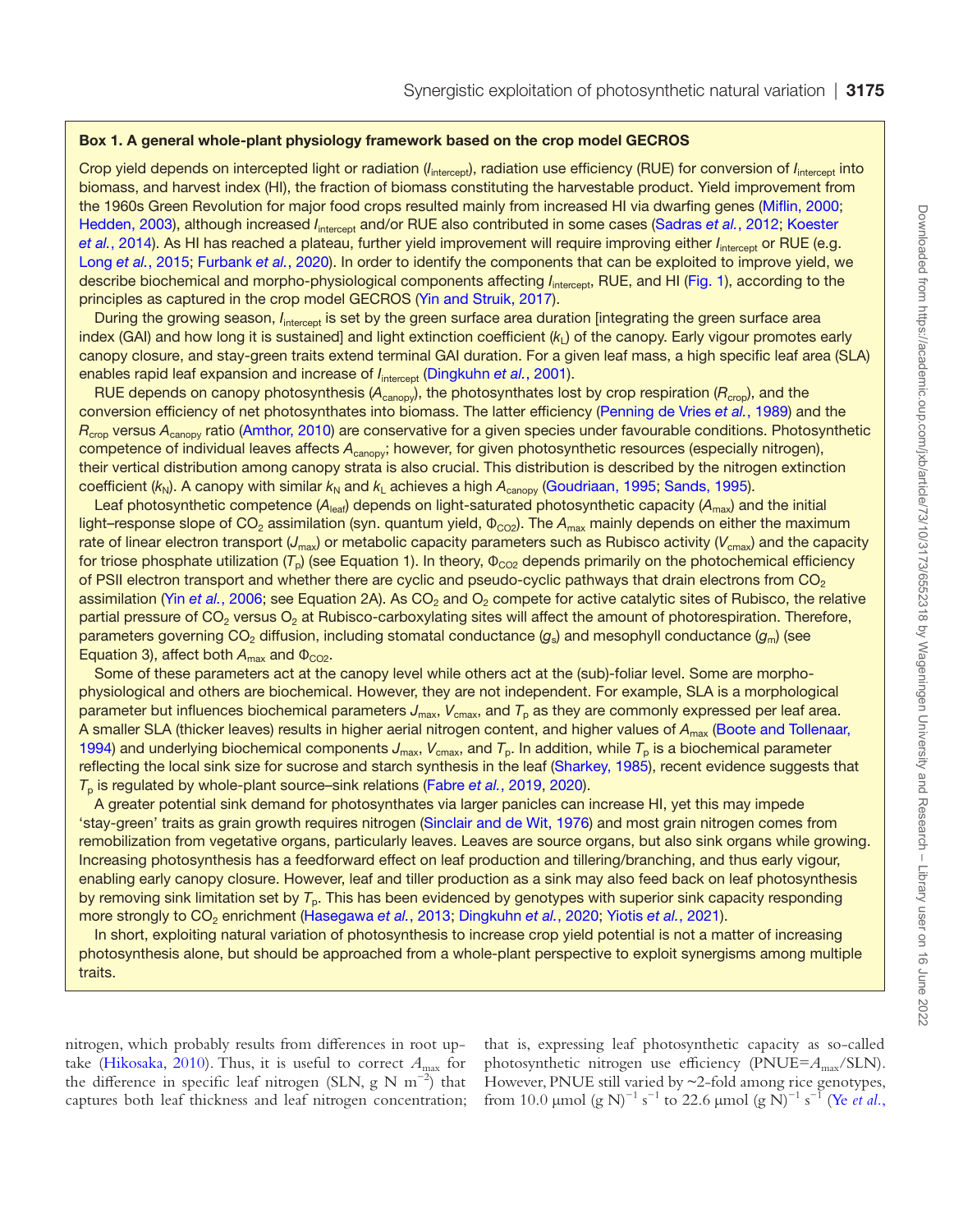### <span id="page-2-0"></span>Box 1. A general whole-plant physiology framework based on the crop model GECROS

Crop yield depends on intercepted light or radiation (*I<sub>intercept</sub>*), radiation use efficiency (RUE) for conversion of *I<sub>intercept</sub>* into biomass, and harvest index (HI), the fraction of biomass constituting the harvestable product. Yield improvement from the 1960s Green Revolution for major food crops resulted mainly from increased HI via dwarfing genes ([Miflin, 2000;](#page-14-10) [Hedden, 2003\)](#page-13-9), although increased *I*<sub>intercept</sub> and/or RUE also contributed in some cases ([Sadras](#page-14-6) *et al.*, 2012; Koester et al.[, 2014\)](#page-14-11). As HI has reached a plateau, further yield improvement will require improving either *I*<sub>intercent</sub> or RUE (e.g. Long *et al.*[, 2015;](#page-14-0) [Furbank](#page-13-0) *et al.*, 2020). In order to identify the components that can be exploited to improve yield, we describe biochemical and morpho-physiological components affecting *I*<sub>intercept</sub>, RUE, and HI ([Fig. 1](#page-3-0)), according to the principles as captured in the crop model GECROS [\(Yin and Struik, 2017\)](#page-15-2).

During the growing season, *I*<sub>intercept</sub> is set by the green surface area duration [integrating the green surface area index (GAI) and how long it is sustained] and light extinction coefficient (k<sub>L</sub>) of the canopy. Early vigour promotes early canopy closure, and stay-green traits extend terminal GAI duration. For a given leaf mass, a high specific leaf area (SLA) enables rapid leaf expansion and increase of *I*<sub>intercept</sub> [\(Dingkuhn](#page-12-6) *et al.*, 2001).

RUE depends on canopy photosynthesis (A<sub>canopy</sub>), the photosynthates lost by crop respiration (R<sub>crop</sub>), and the conversion efficiency of net photosynthates into biomass. The latter efficiency [\(Penning de Vries](#page-14-12) *et al.*, 1989) and the *R<sub>crop</sub>* versus A<sub>canopy</sub> ratio ([Amthor, 2010\)](#page-12-7) are conservative for a given species under favourable conditions. Photosynthetic competence of individual leaves affects *A*canopy; however, for given photosynthetic resources (especially nitrogen), their vertical distribution among canopy strata is also crucial. This distribution is described by the nitrogen extinction coefficient ( $k_N$ ). A canopy with similar  $k_N$  and  $k_L$  achieves a high  $A_{\text{canopy}}$  ([Goudriaan, 1995](#page-13-10); [Sands, 1995](#page-14-13)).

Leaf photosynthetic competence ( $A_{\text{leaf}}$ ) depends on light-saturated photosynthetic capacity ( $A_{\text{max}}$ ) and the initial light–response slope of CO<sub>2</sub> assimilation (syn. quantum yield, Φ<sub>CO2</sub>). The A<sub>max</sub> mainly depends on either the maximum rate of linear electron transport (J<sub>max</sub>) or metabolic capacity parameters such as Rubisco activity (V<sub>cmax</sub>) and the capacity for triose phosphate utilization (T<sub>p</sub>) (see Equation 1). In theory, Φ<sub>CO2</sub> depends primarily on the photochemical efficiency of PSII electron transport and whether there are cyclic and pseudo-cyclic pathways that drain electrons from  $CO<sub>2</sub>$ assimilation (Yin *et al.*[, 2006](#page-15-10); see Equation 2A). As CO<sub>2</sub> and O<sub>2</sub> compete for active catalytic sites of Rubisco, the relative partial pressure of  $CO<sub>2</sub>$  versus  $O<sub>2</sub>$  at Rubisco-carboxylating sites will affect the amount of photorespiration. Therefore, parameters governing CO<sub>2</sub> diffusion, including stomatal conductance (g<sub>s</sub>) and mesophyll conductance (g<sub>m</sub>) (see Equation 3), affect both  $A_{\text{max}}$  and  $\Phi_{\text{CO2}}$ .

Some of these parameters act at the canopy level while others act at the (sub)-foliar level. Some are morphophysiological and others are biochemical. However, they are not independent. For example, SLA is a morphological parameter but influences biochemical parameters J<sub>max</sub>, V<sub>cmax</sub>, and T<sub>p</sub> as they are commonly expressed per leaf area. A smaller SLA (thicker leaves) results in higher aerial nitrogen content, and higher values of A<sub>max</sub> (Boote and Tollenaar, [1994\)](#page-12-5) and underlying biochemical components  $J_{\text{max}}$ ,  $V_{\text{cmax}}$ , and  $T_p$ . In addition, while  $T_p$  is a biochemical parameter reflecting the local sink size for sucrose and starch synthesis in the leaf [\(Sharkey, 1985](#page-15-11)), recent evidence suggests that *T*<sub>p</sub> is regulated by whole-plant source–sink relations [\(Fabre](#page-13-11) *et al.*, 2019, [2020](#page-13-12)).

A greater potential sink demand for photosynthates via larger panicles can increase HI, yet this may impede 'stay-green' traits as grain growth requires nitrogen [\(Sinclair and de Wit, 1976](#page-15-12)) and most grain nitrogen comes from remobilization from vegetative organs, particularly leaves. Leaves are source organs, but also sink organs while growing. Increasing photosynthesis has a feedforward effect on leaf production and tillering/branching, and thus early vigour, enabling early canopy closure. However, leaf and tiller production as a sink may also feed back on leaf photosynthesis by removing sink limitation set by *T*p. This has been evidenced by genotypes with superior sink capacity responding more strongly to CO<sub>2</sub> enrichment [\(Hasegawa](#page-13-13) *et al.*, 2013; [Dingkuhn](#page-12-8) *et al.*, 2020; Yiotis *et al.*[, 2021](#page-15-13)).

In short, exploiting natural variation of photosynthesis to increase crop yield potential is not a matter of increasing photosynthesis alone, but should be approached from a whole-plant perspective to exploit synergisms among multiple traits.

nitrogen, which probably results from differences in root up-take ([Hikosaka, 2010\)](#page-13-8). Thus, it is useful to correct  $A_{\text{max}}$  for the difference in specific leaf nitrogen (SLN, g N m<sup>-2</sup>) that captures both leaf thickness and leaf nitrogen concentration; that is, expressing leaf photosynthetic capacity as so-called photosynthetic nitrogen use efficiency (PNUE= $A<sub>max</sub>/SLN$ ). However, PNUE still varied by ~2-fold among rice genotypes, from 10.0 µmol (g N)<sup>-1</sup> s<sup>-1</sup> to 22.6 µmol (g N)<sup>-1</sup> s<sup>-1</sup> (Ye *[et al.](#page-15-7)*,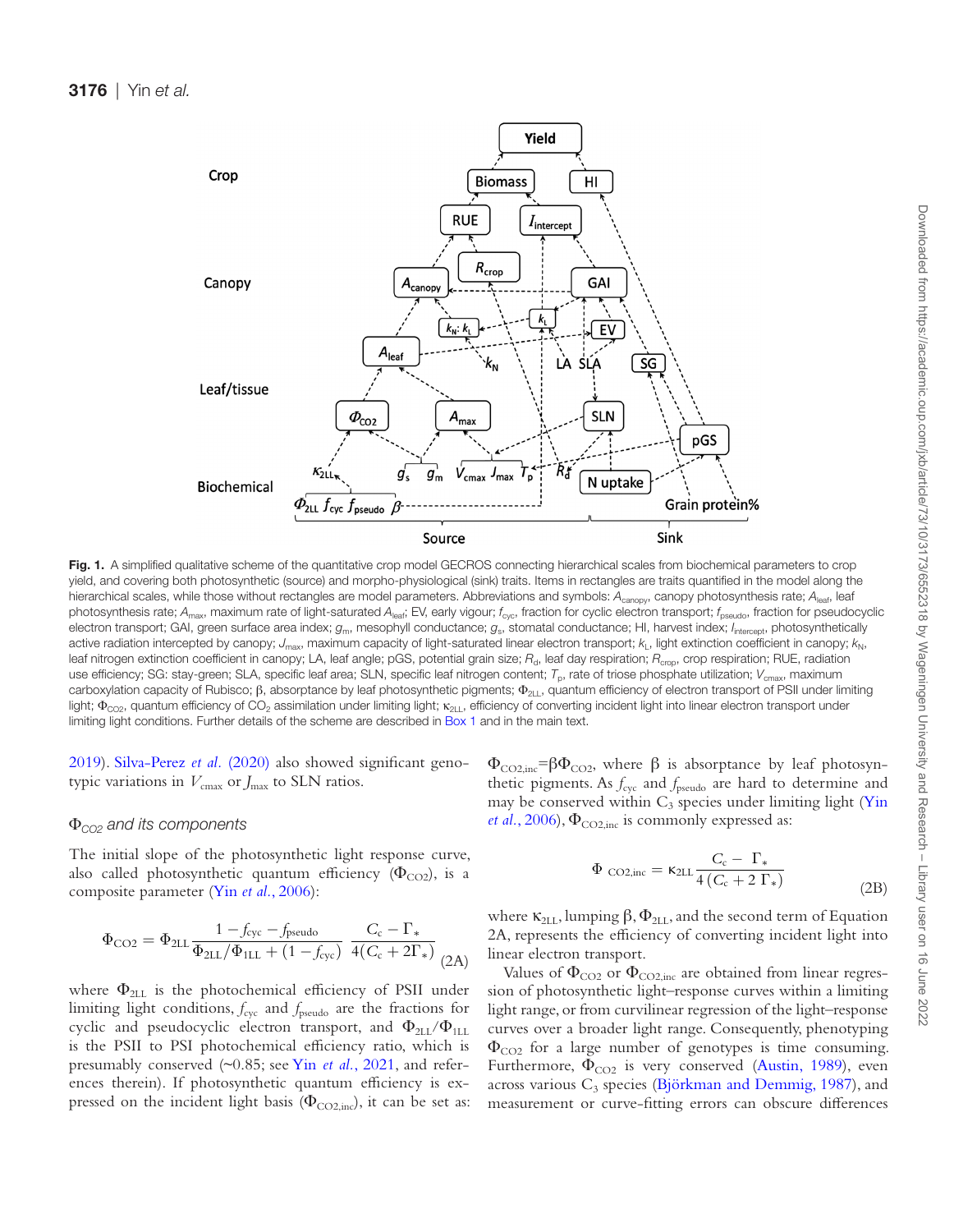

<span id="page-3-0"></span>Fig. 1. A simplified qualitative scheme of the quantitative crop model GECROS connecting hierarchical scales from biochemical parameters to crop yield, and covering both photosynthetic (source) and morpho-physiological (sink) traits. Items in rectangles are traits quantified in the model along the hierarchical scales, while those without rectangles are model parameters. Abbreviations and symbols: A<sub>canopy</sub>, canopy photosynthesis rate; A<sub>leaf</sub>, leaf photosynthesis rate; A<sub>max</sub>, maximum rate of light-saturated A<sub>leaf</sub>; EV, early vigour; *f<sub>cyc</sub>*, fraction for cyclic electron transport; *f*<sub>pseudo</sub>, fraction for pseudocyclic electron transport; GAI, green surface area index;  $g_m$ , mesophyll conductance;  $g_s$ , stomatal conductance; HI, harvest index; *I<sub>intercept</sub>*, photosynthetically active radiation intercepted by canopy; J<sub>max</sub>, maximum capacity of light-saturated linear electron transport;  $k_L$ , light extinction coefficient in canopy;  $k_N$ , leaf nitrogen extinction coefficient in canopy; LA, leaf angle; pGS, potential grain size; R<sub>d</sub>, leaf day respiration; R<sub>crop</sub>, crop respiration; RUE, radiation use efficiency; SG: stay-green; SLA, specific leaf area; SLN, specific leaf nitrogen content; T<sub>p</sub>, rate of triose phosphate utilization; V<sub>cmax</sub>, maximum carboxylation capacity of Rubisco;  $\beta$ , absorptance by leaf photosynthetic pigments;  $\Phi_{21}$ , quantum efficiency of electron transport of PSII under limiting light;  $\Phi_{\rm CO2}$ , quantum efficiency of CO<sub>2</sub> assimilation under limiting light; κ<sub>2LL</sub>, efficiency of converting incident light into linear electron transport under limiting light conditions. Further details of the scheme are described in [Box 1](#page-2-0) and in the main text.

[2019\)](#page-15-7). [Silva-Perez](#page-15-9) *et al.* (2020) also showed significant genotypic variations in  $V_{\text{cmax}}$  or  $J_{\text{max}}$  to SLN ratios.

### Φ*CO2 and its components*

The initial slope of the photosynthetic light response curve, also called photosynthetic quantum efficiency ( $\Phi_{CO2}$ ), is a composite parameter (Yin *et al.*[, 2006\)](#page-15-10):

$$
\Phi_{\text{CO2}} = \Phi_{\text{2LL}} \frac{1 - f_{\text{cyc}} - f_{\text{pseudo}}}{\Phi_{\text{2LL}}/\Phi_{\text{1LL}} + (1 - f_{\text{cyc}})} \frac{C_{\text{c}} - \Gamma_{*}}{4(C_{\text{c}} + 2\Gamma_{*})}
$$
(2A)

where  $\Phi_{2LL}$  is the photochemical efficiency of PSII under limiting light conditions,  $f_{\text{cyc}}$  and  $f_{\text{pseudo}}$  are the fractions for cyclic and pseudocyclic electron transport, and  $\Phi_{2\text{LL}}/\Phi_{1\text{LL}}$ is the PSII to PSI photochemical efficiency ratio, which is presumably conserved (~0.85; see Yin *et al.*[, 2021,](#page-15-14) and references therein). If photosynthetic quantum efficiency is expressed on the incident light basis ( $\Phi_{\text{CO2,inc}}$ ), it can be set as:  $\Phi_{\text{CO2,inc}} = \beta \Phi_{\text{CO2}}$ , where  $\beta$  is absorptance by leaf photosynthetic pigments. As  $f_{\text{cyc}}$  and  $f_{\text{pseudo}}$  are hard to determine and may be conserved within  $C_3$  species under limiting light ([Yin](#page-15-10) *et al.*[, 2006](#page-15-10)),  $\Phi_{CO2,inc}$  is commonly expressed as:

$$
\Phi_{\text{CO2,inc}} = \kappa_{2LL} \frac{C_{\text{c}} - \Gamma_*}{4 \left(C_{\text{c}} + 2 \Gamma_*\right)}\tag{2B}
$$

where  $\kappa_{2LL}$ , lumping  $\beta$ ,  $\Phi_{2LL}$ , and the second term of Equation 2A, represents the efficiency of converting incident light into linear electron transport.

Values of  $\Phi_{CO2}$  or  $\Phi_{CO2,inc}$  are obtained from linear regression of photosynthetic light–response curves within a limiting light range, or from curvilinear regression of the light–response curves over a broader light range. Consequently, phenotyping  $\Phi_{\text{CO2}}$  for a large number of genotypes is time consuming. Furthermore,  $\Phi_{\rm CO2}$  is very conserved [\(Austin, 1989\)](#page-12-4), even across various  $C_3$  species ([Björkman and Demmig, 1987](#page-12-9)), and measurement or curve-fitting errors can obscure differences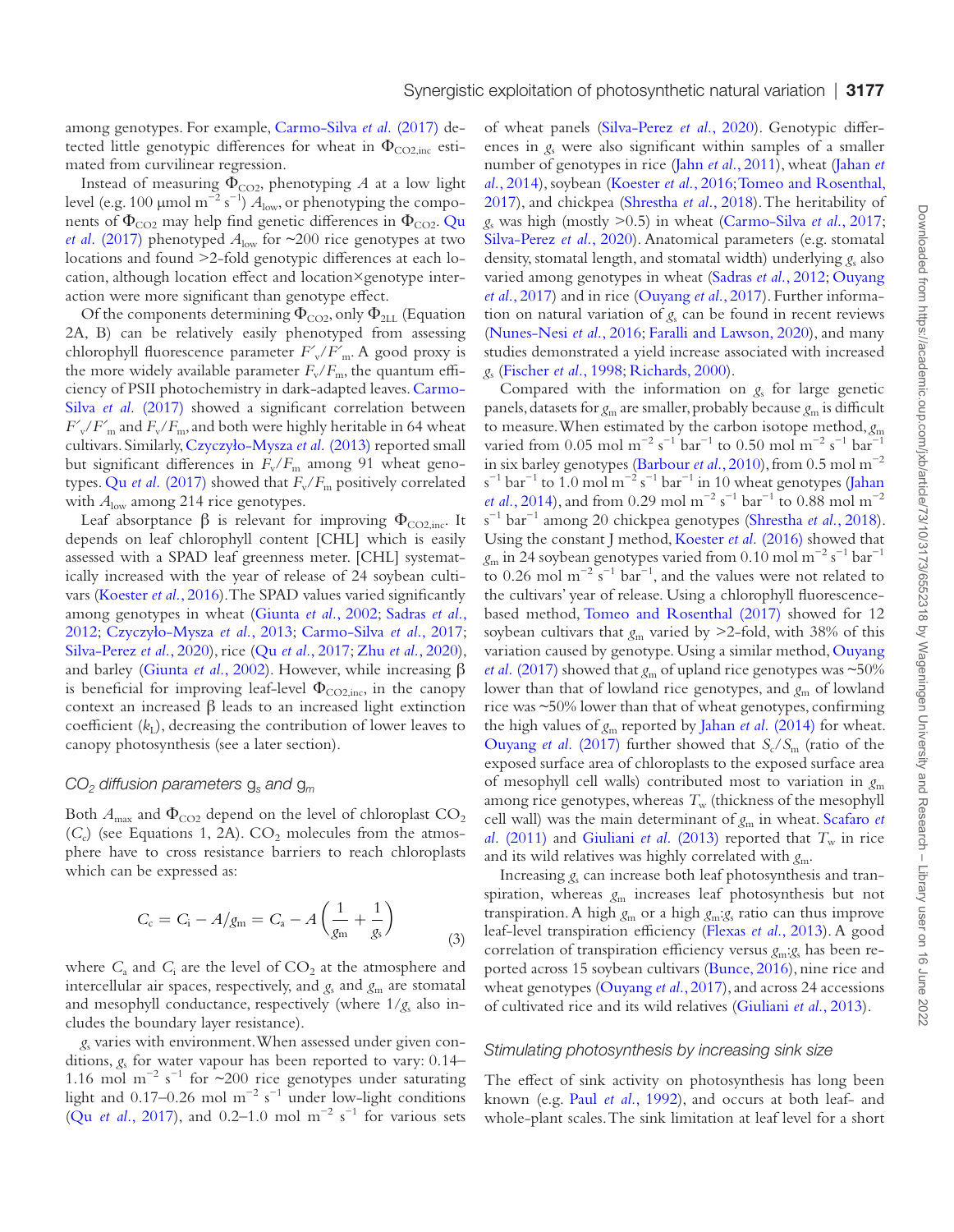among genotypes. For example, [Carmo-Silva](#page-12-3) et al. (2017) detected little genotypic differences for wheat in  $\Phi_{CO2,inc}$  estimated from curvilinear regression.

Instead of measuring  $\Phi_{CO2}$ , phenotyping *A* at a low light level (e.g. 100 μmol m<sup>-2</sup> s<sup>-1</sup>)  $A$ <sub>low</sub>, or phenotyping the components of  $\Phi_{CO2}$  may help find genetic differences in  $\Phi_{CO2}$ . Qu *et al.* [\(2017\)](#page-14-5) phenotyped  $A_{\text{low}}$  for  $\sim$ 200 rice genotypes at two locations and found >2-fold genotypic differences at each location, although location effect and location×genotype interaction were more significant than genotype effect.

Of the components determining  $\Phi_{CO2}$ , only  $\Phi_{2LL}$  (Equation 2A, B) can be relatively easily phenotyped from assessing chlorophyll fluorescence parameter *Fʹ*v/*Fʹ*m. A good proxy is the more widely available parameter  $F_v/F_m$ , the quantum efficiency of PSII photochemistry in dark-adapted leaves. [Carmo-](#page-12-3)Silva *et al.* [\(2017\)](#page-12-3) showed a significant correlation between  $F'_{\rm v}/F'_{\rm m}$  and  $F_{\rm v}/F_{\rm m}$ , and both were highly heritable in 64 wheat cultivars. Similarly, [Czyczyło-Mysza](#page-12-10) *et al.* (2013) reported small but significant differences in  $F_v/F_m$  among 91 wheat genotypes. Qu *et al.* [\(2017\)](#page-14-5) showed that  $F_v/F_m$  positively correlated with  $A_{\text{low}}$  among 214 rice genotypes.

Leaf absorptance  $\beta$  is relevant for improving  $\Phi_{CO2,inc}$ . It depends on leaf chlorophyll content [CHL] which is easily assessed with a SPAD leaf greenness meter. [CHL] systematically increased with the year of release of 24 soybean cultivars [\(Koester](#page-13-14) *et al.*, 2016). The SPAD values varied significantly among genotypes in wheat ([Giunta](#page-13-15) *et al.*, 2002; [Sadras](#page-14-6) *et al.*, [2012;](#page-14-6) [Czyczyło-Mysza](#page-12-10) *et al.*, 2013; [Carmo-Silva](#page-12-3) *et al.*, 2017; [Silva-Perez](#page-15-9) *et al.*, 2020), rice (Qu *et al.*[, 2017;](#page-14-5) Zhu *et al.*[, 2020](#page-15-15)), and barley [\(Giunta](#page-13-15) *et al.*, 2002). However, while increasing β is beneficial for improving leaf-level  $\Phi_{CO2,inc}$ , in the canopy context an increased β leads to an increased light extinction coefficient  $(k<sub>I</sub>)$ , decreasing the contribution of lower leaves to canopy photosynthesis (see a later section).

### *CO2 diffusion parameters* g*s and* g*<sup>m</sup>*

Both  $A_{\text{max}}$  and  $\Phi_{\text{CO2}}$  depend on the level of chloroplast  $\text{CO}_2$  $(C_c)$  (see Equations 1, 2A).  $CO_2$  molecules from the atmosphere have to cross resistance barriers to reach chloroplasts which can be expressed as:

$$
C_{\rm c} = C_{\rm i} - A/g_{\rm m} = C_{\rm a} - A\left(\frac{1}{g_{\rm m}} + \frac{1}{g_{\rm s}}\right) \tag{3}
$$

where  $C_{\rm a}$  and  $C_{\rm i}$  are the level of  $CO_2$  at the atmosphere and intercellular air spaces, respectively, and  $g_s$  and  $g_m$  are stomatal and mesophyll conductance, respectively (where  $1/g_s$  also includes the boundary layer resistance).

*g*s varies with environment. When assessed under given conditions, *g*s for water vapour has been reported to vary: 0.14– 1.16 mol m<sup>-2</sup> s<sup>-1</sup> for ~200 rice genotypes under saturating light and 0.17–0.26 mol m<sup>-2</sup> s<sup>-1</sup> under low-light conditions (Qu *et al.*[, 2017\)](#page-14-5), and 0.2–1.0 mol  $m^{-2} s^{-1}$  for various sets of wheat panels [\(Silva-Perez](#page-15-9) *et al.*, 2020). Genotypic differences in  $g_s$  were also significant within samples of a smaller number of genotypes in rice (Jahn *et al.*[, 2011](#page-13-16)), wheat ([Jahan](#page-13-7) *et al.*[, 2014\)](#page-13-7), soybean [\(Koester](#page-13-14) *et al.*, 2016; [Tomeo and Rosenthal,](#page-15-16) [2017\)](#page-15-16), and chickpea ([Shrestha](#page-15-8) *et al.*, 2018). The heritability of *g*s was high (mostly >0.5) in wheat ([Carmo-Silva](#page-12-3) *et al.*, 2017; [Silva-Perez](#page-15-9) *et al.*, 2020). Anatomical parameters (e.g. stomatal density, stomatal length, and stomatal width) underlying *g*s also varied among genotypes in wheat [\(Sadras](#page-14-6) *et al.*, 2012; [Ouyang](#page-14-14)  *et al.*[, 2017\)](#page-14-14) and in rice [\(Ouyang](#page-14-14) *et al.*, 2017). Further information on natural variation of  $g_s$  can be found in recent reviews [\(Nunes-Nesi](#page-14-15) *et al.*, 2016; [Faralli and Lawson, 2020\)](#page-13-17), and many studies demonstrated a yield increase associated with increased *g*s [\(Fischer](#page-13-18) *et al.*, 1998; [Richards, 2000](#page-14-9)).

Compared with the information on  $g_s$  for large genetic panels, datasets for  $g_m$  are smaller, probably because  $g_m$  is difficult to measure. When estimated by the carbon isotope method, *g*<sup>m</sup> varied from 0.05 mol m<sup>-2</sup> s<sup>-1</sup> bar<sup>-1</sup> to 0.50 mol m<sup>-2</sup> s<sup>-1</sup> bar<sup>-1</sup> in six barley genotypes [\(Barbour](#page-12-11) *et al.*, 2010), from 0.5 mol m−2  $s^{-1}$  bar<sup>-1</sup> to 1.0 mol m<sup>-2</sup> s<sup>-1</sup> bar<sup>-1</sup> in 10 wheat genotypes (Jahan *et al.*[, 2014](#page-13-7)), and from 0.29 mol m<sup>−2</sup> s<sup>−1</sup> bar<sup>−1</sup> to 0.88 mol m<sup>−2</sup> s −1 bar−1 among 20 chickpea genotypes [\(Shrestha](#page-15-8) *et al.*, 2018). Using the constant J method, [Koester](#page-13-14) *et al.* (2016) showed that *g*m in 24 soybean genotypes varied from 0.10 mol m−2 s−1 bar−1 to 0.26 mol  $m^{-2}$  s<sup>-1</sup> bar<sup>-1</sup>, and the values were not related to the cultivars' year of release. Using a chlorophyll fluorescencebased method, [Tomeo and Rosenthal \(2017\)](#page-15-16) showed for 12 soybean cultivars that  $g_m$  varied by  $\geq$ 2-fold, with 38% of this variation caused by genotype. Using a similar method, [Ouyang](#page-14-14) *et al.* [\(2017\)](#page-14-14) showed that  $g<sub>m</sub>$  of upland rice genotypes was  $\sim$ 50% lower than that of lowland rice genotypes, and  $g<sub>m</sub>$  of lowland rice was ~50% lower than that of wheat genotypes, confirming the high values of *g*m reported by Jahan *et al.* [\(2014\)](#page-13-7) for wheat. [Ouyang](#page-14-14) *et al.* (2017) further showed that  $S_c/S_m$  (ratio of the exposed surface area of chloroplasts to the exposed surface area of mesophyll cell walls) contributed most to variation in *g*<sup>m</sup> among rice genotypes, whereas  $T_{\rm w}$  (thickness of the mesophyll cell wall) was the main determinant of *g*m in wheat. [Scafaro](#page-14-16) *et al.* [\(2011\)](#page-14-16) and [Giuliani](#page-13-19) *et al.* (2013) reported that  $T_w$  in rice and its wild relatives was highly correlated with *g*m.

Increasing  $g_s$  can increase both leaf photosynthesis and transpiration, whereas *g*m increases leaf photosynthesis but not transpiration. A high *g*m or a high *g*m:*g*s ratio can thus improve leaf-level transpiration efficiency ([Flexas](#page-13-20) *et al.*, 2013). A good correlation of transpiration efficiency versus *g*m:*g*s has been reported across 15 soybean cultivars [\(Bunce, 2016](#page-12-12)), nine rice and wheat genotypes [\(Ouyang](#page-14-14) *et al.*, 2017), and across 24 accessions of cultivated rice and its wild relatives [\(Giuliani](#page-13-19) *et al.*, 2013).

#### *Stimulating photosynthesis by increasing sink size*

The effect of sink activity on photosynthesis has long been known (e.g. Paul *et al.*[, 1992](#page-14-17)), and occurs at both leaf- and whole-plant scales. The sink limitation at leaf level for a short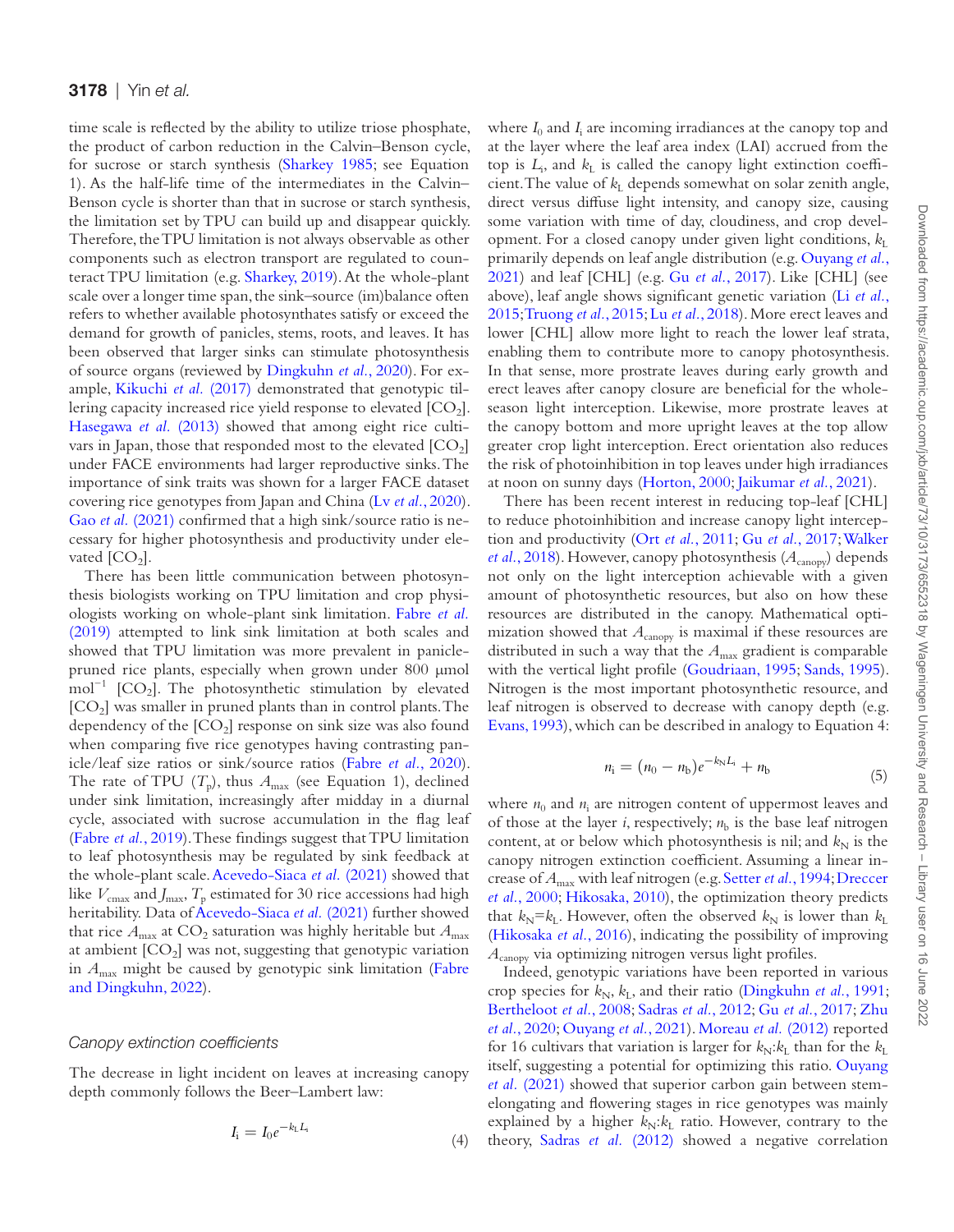time scale is reflected by the ability to utilize triose phosphate, the product of carbon reduction in the Calvin–Benson cycle, for sucrose or starch synthesis ([Sharkey 1985;](#page-15-11) see Equation 1). As the half-life time of the intermediates in the Calvin– Benson cycle is shorter than that in sucrose or starch synthesis, the limitation set by TPU can build up and disappear quickly. Therefore, the TPU limitation is not always observable as other components such as electron transport are regulated to counteract TPU limitation (e.g. [Sharkey, 2019\)](#page-15-17). At the whole-plant scale over a longer time span, the sink–source (im)balance often refers to whether available photosynthates satisfy or exceed the demand for growth of panicles, stems, roots, and leaves. It has been observed that larger sinks can stimulate photosynthesis of source organs (reviewed by [Dingkuhn](#page-12-8) *et al.*, 2020). For example, [Kikuchi](#page-13-21) *et al.* (2017) demonstrated that genotypic tillering capacity increased rice yield response to elevated  $[CO<sub>2</sub>]$ . [Hasegawa](#page-13-13) *et al.* (2013) showed that among eight rice cultivars in Japan, those that responded most to the elevated  $[CO<sub>2</sub>]$ under FACE environments had larger reproductive sinks. The importance of sink traits was shown for a larger FACE dataset covering rice genotypes from Japan and China (Lv *et al.*[, 2020](#page-14-4)). Gao *et al.* [\(2021\)](#page-13-22) confirmed that a high sink/source ratio is necessary for higher photosynthesis and productivity under elevated  $[CO<sub>2</sub>]$ .

There has been little communication between photosynthesis biologists working on TPU limitation and crop physiologists working on whole-plant sink limitation. [Fabre](#page-13-11) *et al.* [\(2019\)](#page-13-11) attempted to link sink limitation at both scales and showed that TPU limitation was more prevalent in paniclepruned rice plants, especially when grown under 800 μmol mol<sup>-1</sup> [CO<sub>2</sub>]. The photosynthetic stimulation by elevated  $[CO<sub>2</sub>]$  was smaller in pruned plants than in control plants. The dependency of the  $[CO_2]$  response on sink size was also found when comparing five rice genotypes having contrasting panicle/leaf size ratios or sink/source ratios (Fabre *et al.*[, 2020](#page-13-12)). The rate of TPU  $(T_p)$ , thus  $A_{\text{max}}$  (see Equation 1), declined under sink limitation, increasingly after midday in a diurnal cycle, associated with sucrose accumulation in the flag leaf [\(Fabre](#page-13-11) *et al.*, 2019). These findings suggest that TPU limitation to leaf photosynthesis may be regulated by sink feedback at the whole-plant scale. [Acevedo-Siaca](#page-11-0) *et al.* (2021) showed that like  $V_{\text{cmax}}$  and  $J_{\text{max}}$ ,  $T_p$  estimated for 30 rice accessions had high heritability. Data of [Acevedo-Siaca](#page-11-0) *et al.* (2021) further showed that rice  $A_{\text{max}}$  at  $CO_2$  saturation was highly heritable but  $A_{\text{max}}$ at ambient  $[CO<sub>2</sub>]$  was not, suggesting that genotypic variation in *A*max might be caused by genotypic sink limitation [\(Fabre](#page-13-23) [and Dingkuhn, 2022](#page-13-23)).

### *Canopy extinction coefficients*

The decrease in light incident on leaves at increasing canopy depth commonly follows the Beer–Lambert law:

$$
I_{\mathbf{i}} = I_0 e^{-k_{\mathbf{L}} L_{\mathbf{i}}} \tag{4}
$$

where  $I_0$  and  $I_i$  are incoming irradiances at the canopy top and at the layer where the leaf area index (LAI) accrued from the top is  $L_i$ , and  $k_L$  is called the canopy light extinction coefficient. The value of  $k<sub>L</sub>$  depends somewhat on solar zenith angle, direct versus diffuse light intensity, and canopy size, causing some variation with time of day, cloudiness, and crop development. For a closed canopy under given light conditions,  $k_L$ primarily depends on leaf angle distribution (e.g. [Ouyang](#page-14-18) *et al.*, [2021\)](#page-14-18) and leaf [CHL] (e.g. Gu *et al.*[, 2017](#page-13-24)). Like [CHL] (see above), leaf angle shows significant genetic variation (Li *[et al.](#page-14-19)*, [2015;](#page-14-19) [Truong](#page-15-18) *et al.*, 2015; Lu *et al.*[, 2018](#page-14-20)). More erect leaves and lower [CHL] allow more light to reach the lower leaf strata, enabling them to contribute more to canopy photosynthesis. In that sense, more prostrate leaves during early growth and erect leaves after canopy closure are beneficial for the wholeseason light interception. Likewise, more prostrate leaves at the canopy bottom and more upright leaves at the top allow greater crop light interception. Erect orientation also reduces the risk of photoinhibition in top leaves under high irradiances at noon on sunny days ([Horton, 2000](#page-13-25); [Jaikumar](#page-13-26) *et al.*, 2021).

There has been recent interest in reducing top-leaf [CHL] to reduce photoinhibition and increase canopy light interception and productivity (Ort *et al.*[, 2011;](#page-14-21) Gu *et al.*[, 2017;](#page-13-24) [Walker](#page-15-19) et al.[, 2018\)](#page-15-19). However, canopy photosynthesis ( $A_{\text{canopy}}$ ) depends not only on the light interception achievable with a given amount of photosynthetic resources, but also on how these resources are distributed in the canopy. Mathematical optimization showed that  $A_{\text{canopy}}$  is maximal if these resources are distributed in such a way that the  $A_{\text{max}}$  gradient is comparable with the vertical light profile [\(Goudriaan, 1995](#page-13-10); [Sands, 1995](#page-14-13)). Nitrogen is the most important photosynthetic resource, and leaf nitrogen is observed to decrease with canopy depth (e.g. [Evans, 1993\)](#page-12-13), which can be described in analogy to Equation 4:

$$
n_{\rm i} = (n_0 - n_{\rm b})e^{-k_{\rm N}L_{\rm i}} + n_{\rm b} \tag{5}
$$

where  $n_0$  and  $n_i$  are nitrogen content of uppermost leaves and of those at the layer *i*, respectively;  $n<sub>b</sub>$  is the base leaf nitrogen content, at or below which photosynthesis is nil; and  $k_N$  is the canopy nitrogen extinction coefficient. Assuming a linear increase of *A*max with leaf nitrogen (e.g. [Setter](#page-14-22) *et al.*, 1994; [Dreccer](#page-12-14) *et al.*[, 2000](#page-12-14); [Hikosaka, 2010](#page-13-8)), the optimization theory predicts that  $k_N = k_L$ . However, often the observed  $k_N$  is lower than  $k_L$ [\(Hikosaka](#page-13-27) *et al.*, 2016), indicating the possibility of improving *A*canopy via optimizing nitrogen versus light profiles.

Indeed, genotypic variations have been reported in various crop species for  $k_N$ ,  $k_L$ , and their ratio [\(Dingkuhn](#page-12-15) *et al.*, 1991; [Bertheloot](#page-12-16) *et al.*, 2008; [Sadras](#page-14-6) *et al.*, 2012; Gu *et al.*[, 2017;](#page-13-24) [Zhu](#page-15-15) *et al.*[, 2020](#page-15-15); [Ouyang](#page-14-18) *et al.*, 2021). [Moreau](#page-14-23) *et al.* (2012) reported for 16 cultivars that variation is larger for  $k_N$ : $k_L$  than for the  $k_L$ itself, suggesting a potential for optimizing this ratio. [Ouyang](#page-14-18) *et al.* [\(2021\)](#page-14-18) showed that superior carbon gain between stemelongating and flowering stages in rice genotypes was mainly explained by a higher  $k_N$ : $k_L$  ratio. However, contrary to the theory, Sadras *et al.* [\(2012\)](#page-14-6) showed a negative correlation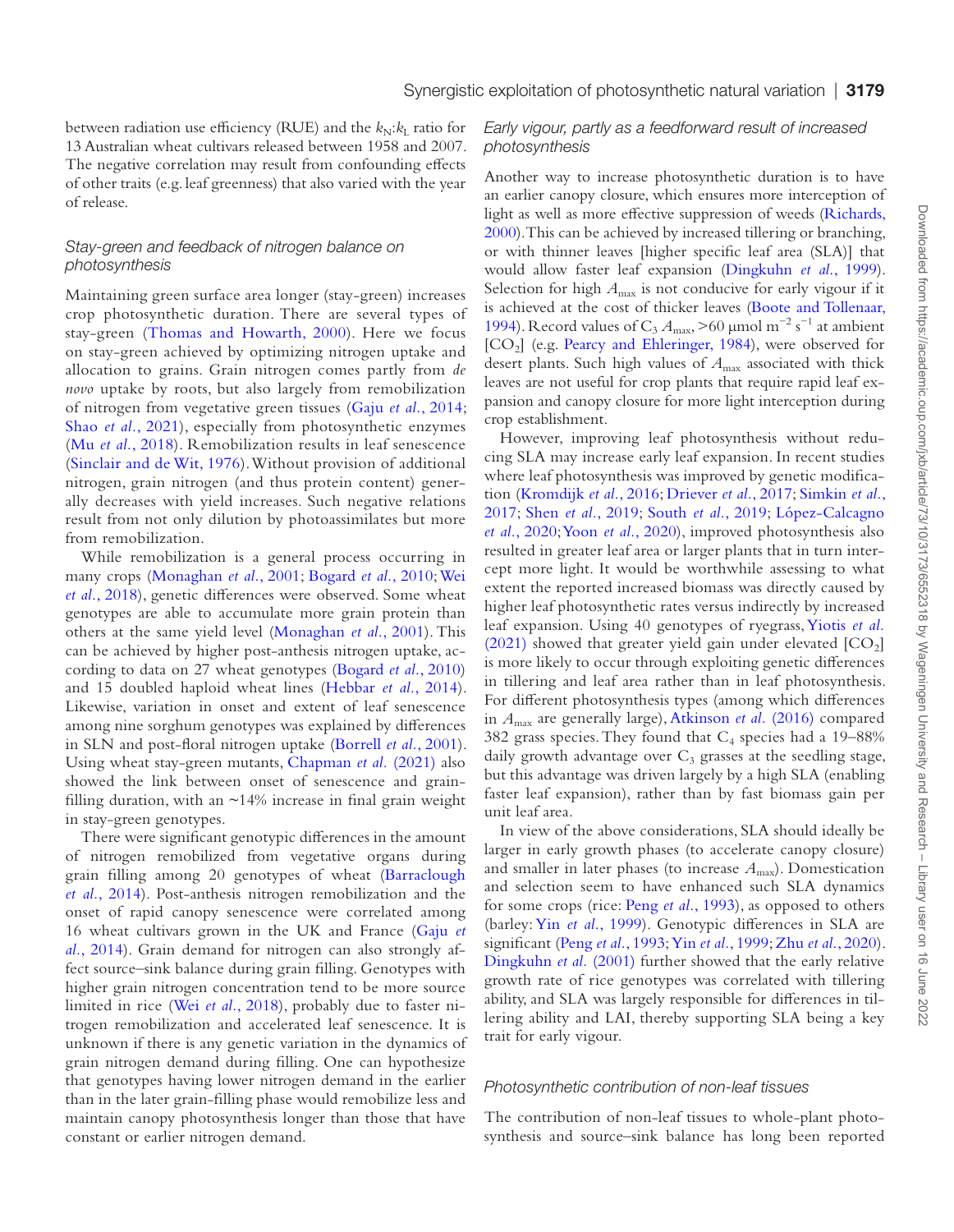between radiation use efficiency (RUE) and the  $k_N$ : $k_L$  ratio for 13 Australian wheat cultivars released between 1958 and 2007. The negative correlation may result from confounding effects of other traits (e.g. leaf greenness) that also varied with the year of release.

### *Stay-green and feedback of nitrogen balance on photosynthesis*

Maintaining green surface area longer (stay-green) increases crop photosynthetic duration. There are several types of stay-green ([Thomas and Howarth, 2000](#page-15-20)). Here we focus on stay-green achieved by optimizing nitrogen uptake and allocation to grains. Grain nitrogen comes partly from *de novo* uptake by roots, but also largely from remobilization of nitrogen from vegetative green tissues (Gaju *et al.*[, 2014](#page-13-28); Shao *et al.*[, 2021](#page-14-24)), especially from photosynthetic enzymes (Mu *et al.*[, 2018\)](#page-14-25). Remobilization results in leaf senescence [\(Sinclair and de Wit, 1976](#page-15-12)). Without provision of additional nitrogen, grain nitrogen (and thus protein content) generally decreases with yield increases. Such negative relations result from not only dilution by photoassimilates but more from remobilization.

While remobilization is a general process occurring in many crops [\(Monaghan](#page-14-26) *et al.*, 2001; [Bogard](#page-12-17) *et al.*, 2010; [Wei](#page-15-21)  *et al.*[, 2018](#page-15-21)), genetic differences were observed. Some wheat genotypes are able to accumulate more grain protein than others at the same yield level ([Monaghan](#page-14-26) *et al.*, 2001). This can be achieved by higher post-anthesis nitrogen uptake, according to data on 27 wheat genotypes [\(Bogard](#page-12-17) *et al.*, 2010) and 15 doubled haploid wheat lines [\(Hebbar](#page-13-29) *et al.*, 2014). Likewise, variation in onset and extent of leaf senescence among nine sorghum genotypes was explained by differences in SLN and post-floral nitrogen uptake [\(Borrell](#page-12-18) *et al.*, 2001). Using wheat stay-green mutants, [Chapman](#page-12-19) *et al.* (2021) also showed the link between onset of senescence and grainfilling duration, with an  $~14\%$  increase in final grain weight in stay-green genotypes.

There were significant genotypic differences in the amount of nitrogen remobilized from vegetative organs during grain filling among 20 genotypes of wheat [\(Barraclough](#page-12-20) *et al.*[, 2014\)](#page-12-20). Post-anthesis nitrogen remobilization and the onset of rapid canopy senescence were correlated among 16 wheat cultivars grown in the UK and France [\(Gaju](#page-13-28) *et al.*[, 2014](#page-13-28)). Grain demand for nitrogen can also strongly affect source–sink balance during grain filling. Genotypes with higher grain nitrogen concentration tend to be more source limited in rice (Wei *et al.*[, 2018\)](#page-15-21), probably due to faster nitrogen remobilization and accelerated leaf senescence. It is unknown if there is any genetic variation in the dynamics of grain nitrogen demand during filling. One can hypothesize that genotypes having lower nitrogen demand in the earlier than in the later grain-filling phase would remobilize less and maintain canopy photosynthesis longer than those that have constant or earlier nitrogen demand.

# *Early vigour, partly as a feedforward result of increased photosynthesis*

Another way to increase photosynthetic duration is to have an earlier canopy closure, which ensures more interception of light as well as more effective suppression of weeds [\(Richards,](#page-14-9)  [2000\)](#page-14-9). This can be achieved by increased tillering or branching, or with thinner leaves [higher specific leaf area (SLA)] that would allow faster leaf expansion [\(Dingkuhn](#page-12-21) *et al.*, 1999). Selection for high  $A_{\text{max}}$  is not conducive for early vigour if it is achieved at the cost of thicker leaves ([Boote and Tollenaar,](#page-12-5) [1994\)](#page-12-5). Record values of C<sub>3</sub>  $A_{\text{max}} > 60 \text{ \mu m}$ ol m<sup>-2</sup> s<sup>-1</sup> at ambient [CO<sub>2</sub>] (e.g. [Pearcy and Ehleringer, 1984](#page-14-27)), were observed for desert plants. Such high values of  $A_{\text{max}}$  associated with thick leaves are not useful for crop plants that require rapid leaf expansion and canopy closure for more light interception during crop establishment.

However, improving leaf photosynthesis without reducing SLA may increase early leaf expansion. In recent studies where leaf photosynthesis was improved by genetic modification [\(Kromdijk](#page-14-2) *et al.*, 2016; [Driever](#page-12-22) *et al.*, 2017; [Simkin](#page-15-22) *et al.*, [2017](#page-15-22); Shen *et al.*[, 2019](#page-15-23); [South](#page-15-3) *et al.*, 2019; [López-Calcagno](#page-14-28) *et al.*[, 2020;](#page-14-28) Yoon *et al.*[, 2020](#page-15-24)), improved photosynthesis also resulted in greater leaf area or larger plants that in turn intercept more light. It would be worthwhile assessing to what extent the reported increased biomass was directly caused by higher leaf photosynthetic rates versus indirectly by increased leaf expansion. Using 40 genotypes of ryegrass, [Yiotis](#page-15-13) *et al.* [\(2021\)](#page-15-13) showed that greater yield gain under elevated  $[CO<sub>2</sub>]$ is more likely to occur through exploiting genetic differences in tillering and leaf area rather than in leaf photosynthesis. For different photosynthesis types (among which differences in *A*max are generally large), [Atkinson](#page-12-23) *et al.* (2016) compared 382 grass species. They found that  $C_4$  species had a 19–88% daily growth advantage over  $C_3$  grasses at the seedling stage, but this advantage was driven largely by a high SLA (enabling faster leaf expansion), rather than by fast biomass gain per unit leaf area.

In view of the above considerations, SLA should ideally be larger in early growth phases (to accelerate canopy closure) and smaller in later phases (to increase  $A<sub>max</sub>$ ). Domestication and selection seem to have enhanced such SLA dynamics for some crops (rice: Peng *et al.*[, 1993](#page-14-29)), as opposed to others (barley: Yin *et al.*[, 1999](#page-15-25)). Genotypic differences in SLA are significant (Peng *et al.*[, 1993](#page-14-29); Yin *et al.*[, 1999;](#page-15-25) Zhu *et al.*[, 2020](#page-15-15)). [Dingkuhn](#page-12-6) *et al.* (2001) further showed that the early relative growth rate of rice genotypes was correlated with tillering ability, and SLA was largely responsible for differences in tillering ability and LAI, thereby supporting SLA being a key trait for early vigour.

# *Photosynthetic contribution of non-leaf tissues*

The contribution of non-leaf tissues to whole-plant photosynthesis and source–sink balance has long been reported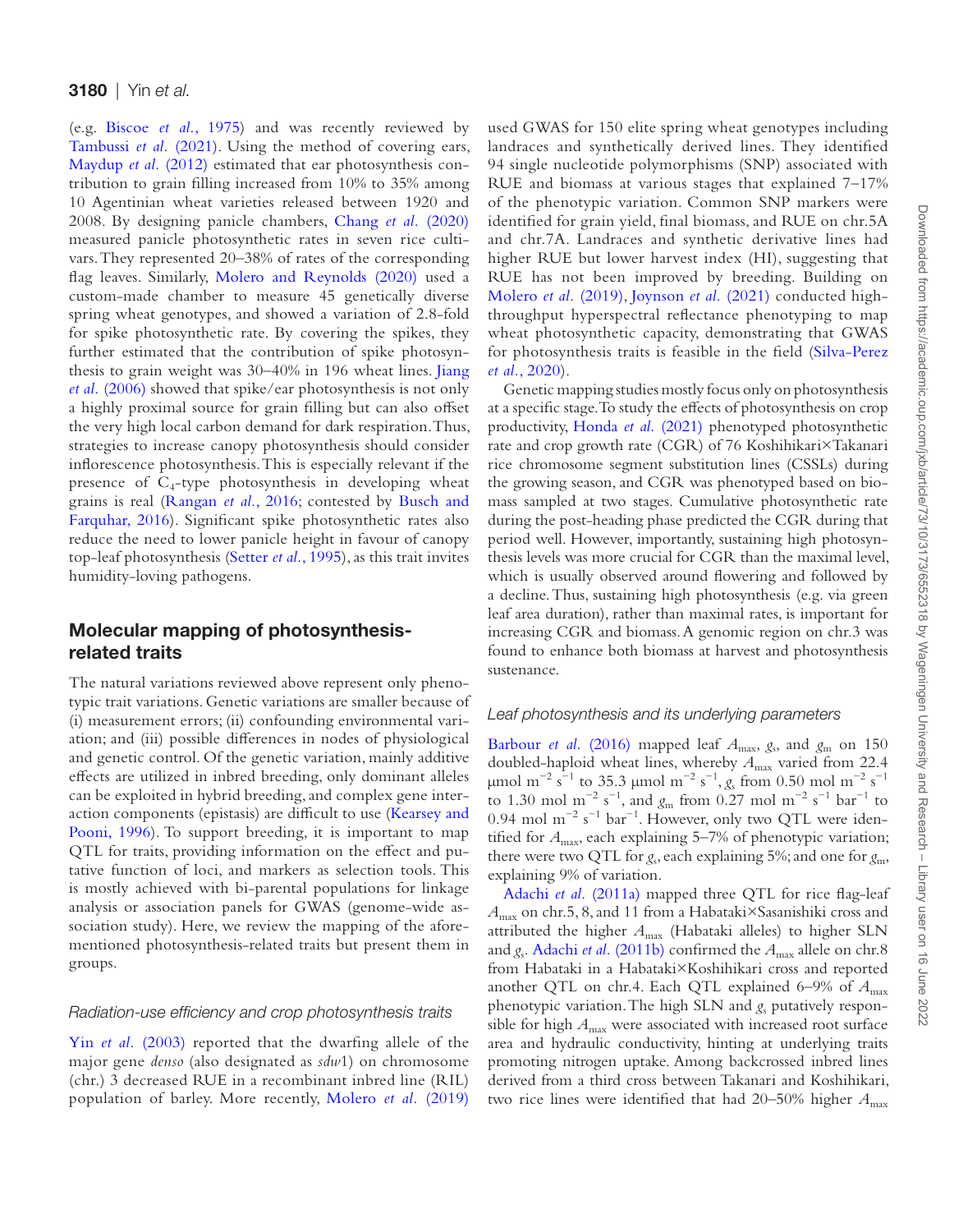(e.g. [Biscoe](#page-12-24) *et al.*, 1975) and was recently reviewed by [Tambussi](#page-15-26) *et al.* (2021). Using the method of covering ears, [Maydup](#page-14-30) *et al.* (2012) estimated that ear photosynthesis contribution to grain filling increased from 10% to 35% among 10 Agentinian wheat varieties released between 1920 and 2008. By designing panicle chambers, Chang *et al.* [\(2020\)](#page-12-25) measured panicle photosynthetic rates in seven rice cultivars. They represented 20–38% of rates of the corresponding flag leaves. Similarly, [Molero and Reynolds \(2020\)](#page-14-31) used a custom-made chamber to measure 45 genetically diverse spring wheat genotypes, and showed a variation of 2.8-fold for spike photosynthetic rate. By covering the spikes, they further estimated that the contribution of spike photosynthesis to grain weight was 30–40% in 196 wheat lines. [Jiang](#page-13-30) *et al.* [\(2006\)](#page-13-30) showed that spike/ear photosynthesis is not only a highly proximal source for grain filling but can also offset the very high local carbon demand for dark respiration. Thus, strategies to increase canopy photosynthesis should consider inflorescence photosynthesis. This is especially relevant if the presence of  $C_4$ -type photosynthesis in developing wheat grains is real [\(Rangan](#page-14-32) *et al.*, 2016; contested by [Busch and](#page-12-26) [Farquhar, 2016\)](#page-12-26). Significant spike photosynthetic rates also reduce the need to lower panicle height in favour of canopy top-leaf photosynthesis ([Setter](#page-14-33) *et al.*, 1995), as this trait invites humidity-loving pathogens.

# Molecular mapping of photosynthesisrelated traits

The natural variations reviewed above represent only phenotypic trait variations. Genetic variations are smaller because of (i) measurement errors; (ii) confounding environmental variation; and (iii) possible differences in nodes of physiological and genetic control. Of the genetic variation, mainly additive effects are utilized in inbred breeding, only dominant alleles can be exploited in hybrid breeding, and complex gene interaction components (epistasis) are difficult to use ([Kearsey and](#page-13-31) [Pooni, 1996\)](#page-13-31). To support breeding, it is important to map QTL for traits, providing information on the effect and putative function of loci, and markers as selection tools. This is mostly achieved with bi-parental populations for linkage analysis or association panels for GWAS (genome-wide association study). Here, we review the mapping of the aforementioned photosynthesis-related traits but present them in groups.

### *Radiation-use efficiency and crop photosynthesis traits*

Yin *et al.* [\(2003\)](#page-15-27) reported that the dwarfing allele of the major gene *denso* (also designated as *sdw*1) on chromosome (chr.) 3 decreased RUE in a recombinant inbred line (RIL) population of barley. More recently, [Molero](#page-14-34) *et al.* (2019)

used GWAS for 150 elite spring wheat genotypes including landraces and synthetically derived lines. They identified 94 single nucleotide polymorphisms (SNP) associated with RUE and biomass at various stages that explained 7–17% of the phenotypic variation. Common SNP markers were identified for grain yield, final biomass, and RUE on chr.5A and chr.7A. Landraces and synthetic derivative lines had higher RUE but lower harvest index (HI), suggesting that RUE has not been improved by breeding. Building on [Molero](#page-14-34) *et al.* (2019), [Joynson](#page-13-32) *et al.* (2021) conducted highthroughput hyperspectral reflectance phenotyping to map wheat photosynthetic capacity, demonstrating that GWAS for photosynthesis traits is feasible in the field ([Silva-Perez](#page-15-9) *et al.*[, 2020\)](#page-15-9).

Genetic mapping studies mostly focus only on photosynthesis at a specific stage. To study the effects of photosynthesis on crop productivity, [Honda](#page-13-33) *et al.* (2021) phenotyped photosynthetic rate and crop growth rate (CGR) of 76 Koshihikari×Takanari rice chromosome segment substitution lines (CSSLs) during the growing season, and CGR was phenotyped based on biomass sampled at two stages. Cumulative photosynthetic rate during the post-heading phase predicted the CGR during that period well. However, importantly, sustaining high photosynthesis levels was more crucial for CGR than the maximal level, which is usually observed around flowering and followed by a decline. Thus, sustaining high photosynthesis (e.g. via green leaf area duration), rather than maximal rates, is important for increasing CGR and biomass. A genomic region on chr.3 was found to enhance both biomass at harvest and photosynthesis sustenance.

### *Leaf photosynthesis and its underlying parameters*

[Barbour](#page-12-27) *et al.* (2016) mapped leaf  $A_{\text{max}}$ ,  $g_s$ , and  $g_m$  on 150 doubled-haploid wheat lines, whereby *A*max varied from 22.4 μmol m<sup>-2</sup> s<sup>-1</sup> to 35.3 μmol m<sup>-2</sup> s<sup>-1</sup>, *g*<sub>s</sub> from 0.50 mol m<sup>-2</sup> s<sup>-1</sup> to 1.30 mol m<sup>-2</sup> s<sup>-1</sup>, and  $g_m$  from 0.27 mol m<sup>-2</sup> s<sup>-1</sup> bar<sup>-1</sup> to 0.94 mol m<sup>-2</sup> s<sup>-1</sup> bar<sup>-1</sup>. However, only two QTL were identified for  $A_{\text{max}}$ , each explaining 5–7% of phenotypic variation; there were two QTL for *g*<sub>s</sub>, each explaining 5%; and one for *g*<sub>m</sub>, explaining 9% of variation.

Adachi et al. [\(2011a\)](#page-12-28) mapped three QTL for rice flag-leaf *A*max on chr.5, 8, and 11 from a Habataki×Sasanishiki cross and attributed the higher  $A_{\text{max}}$  (Habataki alleles) to higher SLN and  $g_s$ . Adachi *et al.* [\(2011b\)](#page-12-29) confirmed the  $A_{\text{max}}$  allele on chr.8 from Habataki in a Habataki×Koshihikari cross and reported another QTL on chr.4. Each QTL explained  $6-9\%$  of  $A_{\text{max}}$ phenotypic variation. The high SLN and *g*s putatively responsible for high  $A_{\text{max}}$  were associated with increased root surface area and hydraulic conductivity, hinting at underlying traits promoting nitrogen uptake. Among backcrossed inbred lines derived from a third cross between Takanari and Koshihikari, two rice lines were identified that had 20–50% higher  $A_{\text{max}}$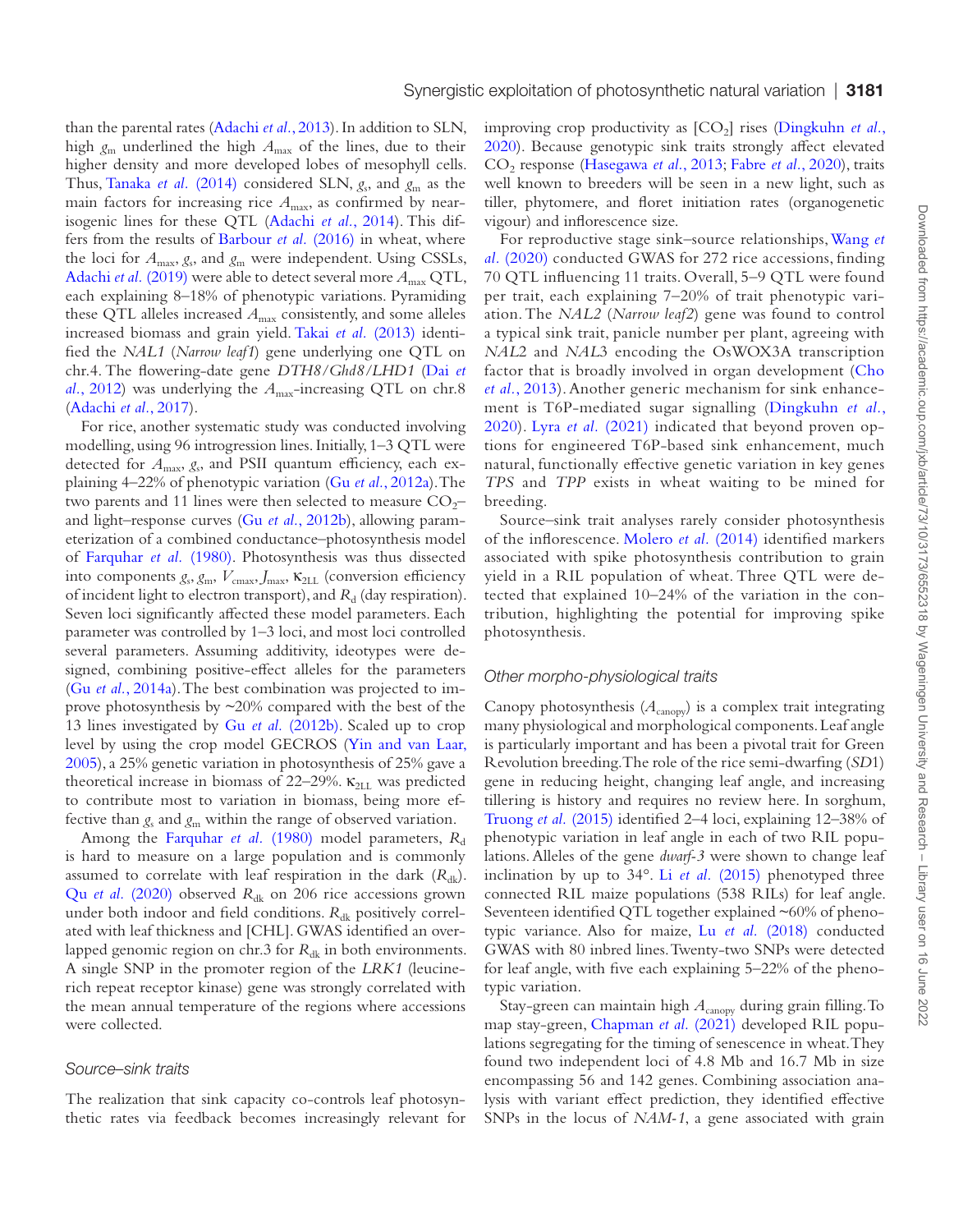than the parental rates [\(Adachi](#page-12-30) *et al.*, 2013). In addition to SLN, high  $g_m$  underlined the high  $A_{\text{max}}$  of the lines, due to their higher density and more developed lobes of mesophyll cells. Thus, [Tanaka](#page-15-28) *et al.* (2014) considered SLN,  $g_s$ , and  $g_m$  as the main factors for increasing rice  $A_{\text{max}}$ , as confirmed by nearisogenic lines for these QTL ([Adachi](#page-11-1) *et al.*, 2014). This differs from the results of [Barbour](#page-12-27) *et al.* (2016) in wheat, where the loci for *A*max, *g*s, and *g*m were independent. Using CSSLs, [Adachi](#page-12-31) *et al.* (2019) were able to detect several more  $A_{\text{max}}$  QTL, each explaining 8–18% of phenotypic variations. Pyramiding these QTL alleles increased  $A_{\text{max}}$  consistently, and some alleles increased biomass and grain yield. Takai *et al.* [\(2013\)](#page-15-29) identified the *NAL1* (*Narrow leaf1*) gene underlying one QTL on chr.4. The flowering-date gene *DTH8/Ghd8/LHD1* ([Dai](#page-12-32) *et al.*[, 2012\)](#page-12-32) was underlying the  $A_{\text{max}}$ -increasing QTL on chr.8 [\(Adachi](#page-12-33) *et al.*, 2017).

For rice, another systematic study was conducted involving modelling, using 96 introgression lines. Initially, 1–3 QTL were detected for *A*max, *g*s, and PSII quantum efficiency, each explaining 4–22% of phenotypic variation (Gu *et al.*[, 2012a\)](#page-13-2). The two parents and 11 lines were then selected to measure  $CO<sub>2</sub>$ and light–response curves (Gu *et al.*[, 2012b\)](#page-13-34), allowing parameterization of a combined conductance–photosynthesis model of [Farquhar](#page-13-5) *et al.* (1980). Photosynthesis was thus dissected into components  $g_s$ ,  $g_m$ ,  $V_{\text{cmax}}$ ,  $J_{\text{max}}$ ,  $K_{2LL}$  (conversion efficiency of incident light to electron transport), and R<sub>d</sub> (day respiration). Seven loci significantly affected these model parameters. Each parameter was controlled by 1–3 loci, and most loci controlled several parameters. Assuming additivity, ideotypes were designed, combining positive-effect alleles for the parameters (Gu *et al.*[, 2014a](#page-13-35)). The best combination was projected to improve photosynthesis by ~20% compared with the best of the 13 lines investigated by Gu *et al.* [\(2012b\).](#page-13-34) Scaled up to crop level by using the crop model GECROS ([Yin and van Laar,](#page-15-30) [2005\)](#page-15-30), a 25% genetic variation in photosynthesis of 25% gave a theoretical increase in biomass of 22–29%.  $\kappa_{2LL}$  was predicted to contribute most to variation in biomass, being more effective than  $g_s$  and  $g_m$  within the range of observed variation.

Among the [Farquhar](#page-13-5) *et al.* (1980) model parameters,  $R_d$ is hard to measure on a large population and is commonly assumed to correlate with leaf respiration in the dark  $(R_{dk})$ . Qu *et al.* [\(2020\)](#page-14-35) observed R<sub>dk</sub> on 206 rice accessions grown under both indoor and field conditions. R<sub>dk</sub> positively correlated with leaf thickness and [CHL]. GWAS identified an overlapped genomic region on chr.3 for *R*<sub>dk</sub> in both environments. A single SNP in the promoter region of the *LRK1* (leucinerich repeat receptor kinase) gene was strongly correlated with the mean annual temperature of the regions where accessions were collected.

### *Source–sink traits*

The realization that sink capacity co-controls leaf photosynthetic rates via feedback becomes increasingly relevant for improving crop productivity as  $[CO_2]$  rises ([Dingkuhn](#page-12-8) *et al.*, [2020\)](#page-12-8). Because genotypic sink traits strongly affect elevated CO2 response [\(Hasegawa](#page-13-13) *et al.*, 2013; [Fabre](#page-13-12) *et al.*, 2020), traits well known to breeders will be seen in a new light, such as tiller, phytomere, and floret initiation rates (organogenetic vigour) and inflorescence size.

For reproductive stage sink–source relationships, [Wang](#page-15-31) *et al.* [\(2020\)](#page-15-31) conducted GWAS for 272 rice accessions, finding 70 QTL influencing 11 traits. Overall, 5–9 QTL were found per trait, each explaining 7–20% of trait phenotypic variation. The *NAL2* (*Narrow leaf2*) gene was found to control a typical sink trait, panicle number per plant, agreeing with *NAL*2 and *NAL*3 encoding the OsWOX3A transcription factor that is broadly involved in organ development ([Cho](#page-12-34) *et al.*[, 2013\)](#page-12-34). Another generic mechanism for sink enhancement is T6P-mediated sugar signalling ([Dingkuhn](#page-12-8) *et al.*, [2020](#page-12-8)). Lyra *et al.* [\(2021\)](#page-14-36) indicated that beyond proven options for engineered T6P-based sink enhancement, much natural, functionally effective genetic variation in key genes *TPS* and *TPP* exists in wheat waiting to be mined for breeding.

Source–sink trait analyses rarely consider photosynthesis of the inflorescence. [Molero](#page-14-37) *et al.* (2014) identified markers associated with spike photosynthesis contribution to grain yield in a RIL population of wheat. Three QTL were detected that explained 10–24% of the variation in the contribution, highlighting the potential for improving spike photosynthesis.

#### *Other morpho-physiological traits*

Canopy photosynthesis  $(A_{\text{canopy}})$  is a complex trait integrating many physiological and morphological components. Leaf angle is particularly important and has been a pivotal trait for Green Revolution breeding. The role of the rice semi-dwarfing (*SD*1) gene in reducing height, changing leaf angle, and increasing tillering is history and requires no review here. In sorghum, [Truong](#page-15-18) *et al.* (2015) identified 2–4 loci, explaining 12–38% of phenotypic variation in leaf angle in each of two RIL populations. Alleles of the gene *dwarf-3* were shown to change leaf inclination by up to 34°. Li *et al.* [\(2015\)](#page-14-19) phenotyped three connected RIL maize populations (538 RILs) for leaf angle. Seventeen identified QTL together explained ~60% of phenotypic variance. Also for maize, Lu *et al.* [\(2018\)](#page-14-20) conducted GWAS with 80 inbred lines. Twenty-two SNPs were detected for leaf angle, with five each explaining 5–22% of the phenotypic variation.

Stay-green can maintain high *A*canopy during grain filling. To map stay-green, [Chapman](#page-12-19) *et al.* (2021) developed RIL populations segregating for the timing of senescence in wheat. They found two independent loci of 4.8 Mb and 16.7 Mb in size encompassing 56 and 142 genes. Combining association analysis with variant effect prediction, they identified effective SNPs in the locus of *NAM-1*, a gene associated with grain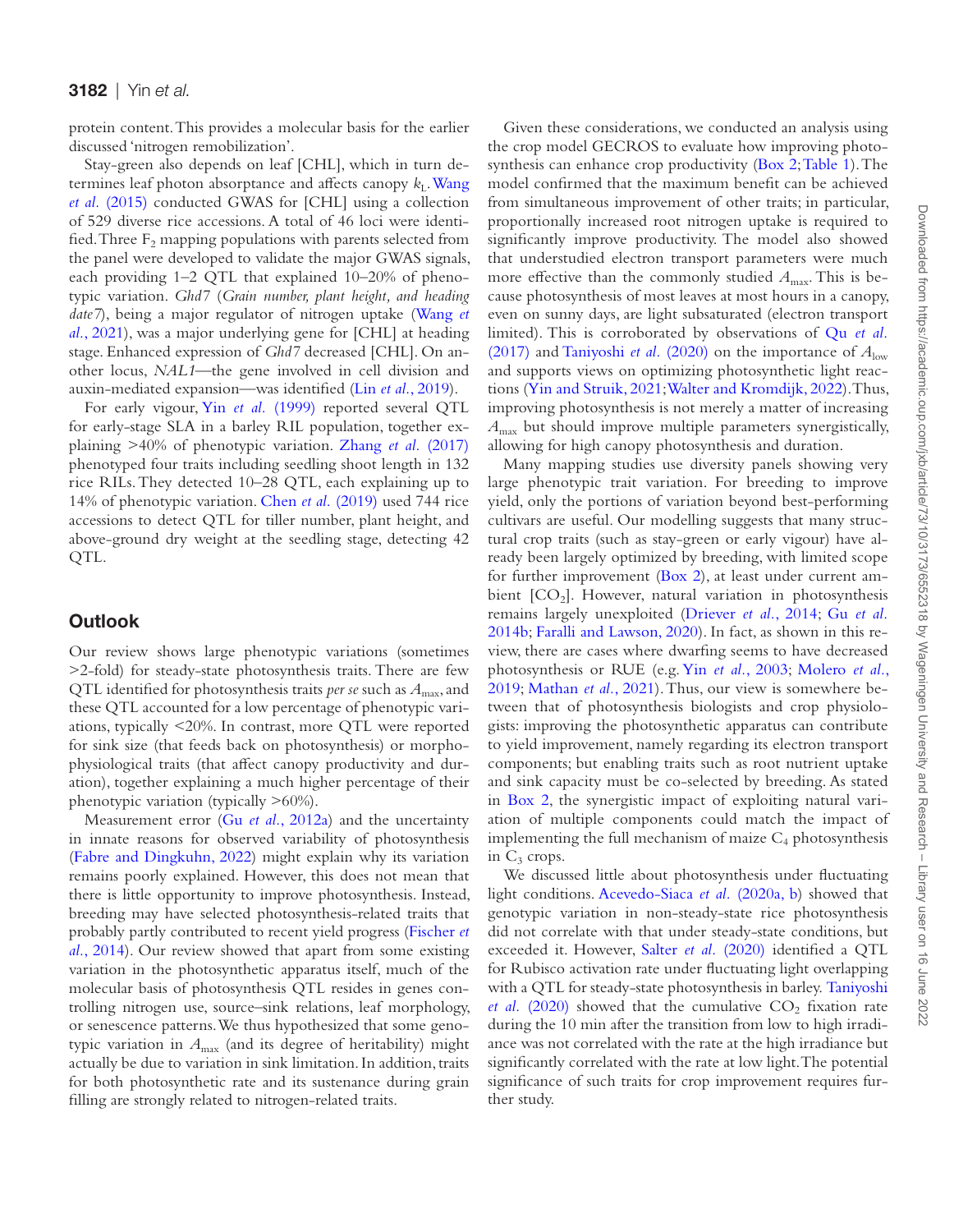protein content. This provides a molecular basis for the earlier discussed 'nitrogen remobilization'.

Stay-green also depends on leaf [CHL], which in turn determines leaf photon absorptance and affects canopy  $k_L$ . [Wang](#page-15-32) *et al.* [\(2015\)](#page-15-32) conducted GWAS for [CHL] using a collection of 529 diverse rice accessions. A total of 46 loci were identified. Three  $F_2$  mapping populations with parents selected from the panel were developed to validate the major GWAS signals, each providing 1–2 QTL that explained 10–20% of phenotypic variation. *Ghd7* (*Grain number, plant height, and heading date7*), being a major regulator of nitrogen uptake ([Wang](#page-15-33) *et al.*[, 2021\)](#page-15-33), was a major underlying gene for [CHL] at heading stage. Enhanced expression of *Ghd7* decreased [CHL]. On another locus, *NAL1—*the gene involved in cell division and auxin-mediated expansion—was identified (Lin *et al.*[, 2019\)](#page-14-38).

For early vigour, Yin *et al.* [\(1999\)](#page-15-25) reported several QTL for early-stage SLA in a barley RIL population, together explaining >40% of phenotypic variation. Zhang *et al.* [\(2017\)](#page-15-34) phenotyped four traits including seedling shoot length in 132 rice RILs. They detected 10–28 QTL, each explaining up to 14% of phenotypic variation. Chen *et al.* [\(2019\)](#page-12-35) used 744 rice accessions to detect QTL for tiller number, plant height, and above-ground dry weight at the seedling stage, detecting 42 QTL.

# **Outlook**

Our review shows large phenotypic variations (sometimes >2-fold) for steady-state photosynthesis traits. There are few QTL identified for photosynthesis traits *per se* such as *A*max, and these QTL accounted for a low percentage of phenotypic variations, typically <20%. In contrast, more QTL were reported for sink size (that feeds back on photosynthesis) or morphophysiological traits (that affect canopy productivity and duration), together explaining a much higher percentage of their phenotypic variation (typically >60%).

Measurement error (Gu *et al.*[, 2012a\)](#page-13-2) and the uncertainty in innate reasons for observed variability of photosynthesis [\(Fabre and Dingkuhn, 2022\)](#page-13-23) might explain why its variation remains poorly explained. However, this does not mean that there is little opportunity to improve photosynthesis. Instead, breeding may have selected photosynthesis-related traits that probably partly contributed to recent yield progress ([Fischer](#page-13-36) *et al.*[, 2014](#page-13-36)). Our review showed that apart from some existing variation in the photosynthetic apparatus itself, much of the molecular basis of photosynthesis QTL resides in genes controlling nitrogen use, source–sink relations, leaf morphology, or senescence patterns. We thus hypothesized that some genotypic variation in *A*max (and its degree of heritability) might actually be due to variation in sink limitation. In addition, traits for both photosynthetic rate and its sustenance during grain filling are strongly related to nitrogen-related traits.

Given these considerations, we conducted an analysis using the crop model GECROS to evaluate how improving photosynthesis can enhance crop productivity ([Box 2;](#page-10-0) [Table 1](#page-11-2)). The model confirmed that the maximum benefit can be achieved from simultaneous improvement of other traits; in particular, proportionally increased root nitrogen uptake is required to significantly improve productivity. The model also showed that understudied electron transport parameters were much more effective than the commonly studied  $A<sub>max</sub>$ . This is because photosynthesis of most leaves at most hours in a canopy, even on sunny days, are light subsaturated (electron transport limited). This is corroborated by observations of Qu *[et al.](#page-14-5)* [\(2017\)](#page-14-5) and [Taniyoshi](#page-15-35) *et al.* (2020) on the importance of  $A_{\text{low}}$ and supports views on optimizing photosynthetic light reactions [\(Yin and Struik, 2021](#page-15-6)[; Walter and Kromdijk, 2022](#page-15-0)). Thus, improving photosynthesis is not merely a matter of increasing *A*max but should improve multiple parameters synergistically, allowing for high canopy photosynthesis and duration.

Many mapping studies use diversity panels showing very large phenotypic trait variation. For breeding to improve yield, only the portions of variation beyond best-performing cultivars are useful. Our modelling suggests that many structural crop traits (such as stay-green or early vigour) have already been largely optimized by breeding, with limited scope for further improvement [\(Box 2](#page-10-0)), at least under current ambient  $[CO<sub>2</sub>]$ . However, natural variation in photosynthesis remains largely unexploited [\(Driever](#page-12-0) *et al.*, 2014; Gu *[et al.](#page-13-3)* [2014b](#page-13-3); [Faralli and Lawson, 2020](#page-13-17)). In fact, as shown in this review, there are cases where dwarfing seems to have decreased photosynthesis or RUE (e.g. Yin *et al.*[, 2003](#page-15-27); [Molero](#page-14-34) *et al.*, [2019](#page-14-34); [Mathan](#page-14-8) *et al.*, 2021). Thus, our view is somewhere between that of photosynthesis biologists and crop physiologists: improving the photosynthetic apparatus can contribute to yield improvement, namely regarding its electron transport components; but enabling traits such as root nutrient uptake and sink capacity must be co-selected by breeding. As stated in [Box 2,](#page-10-0) the synergistic impact of exploiting natural variation of multiple components could match the impact of implementing the full mechanism of maize  $C_4$  photosynthesis in  $C_3$  crops.

We discussed little about photosynthesis under fluctuating light conditions. [Acevedo-Siaca](#page-11-3) *et al.* (2020a, b) showed that genotypic variation in non-steady-state rice photosynthesis did not correlate with that under steady-state conditions, but exceeded it. However, Salter *et al.* [\(2020\)](#page-14-39) identified a QTL for Rubisco activation rate under fluctuating light overlapping with a QTL for steady-state photosynthesis in barley. [Taniyoshi](#page-15-35) *et al.* [\(2020\)](#page-15-35) showed that the cumulative  $CO<sub>2</sub>$  fixation rate during the 10 min after the transition from low to high irradiance was not correlated with the rate at the high irradiance but significantly correlated with the rate at low light. The potential significance of such traits for crop improvement requires further study.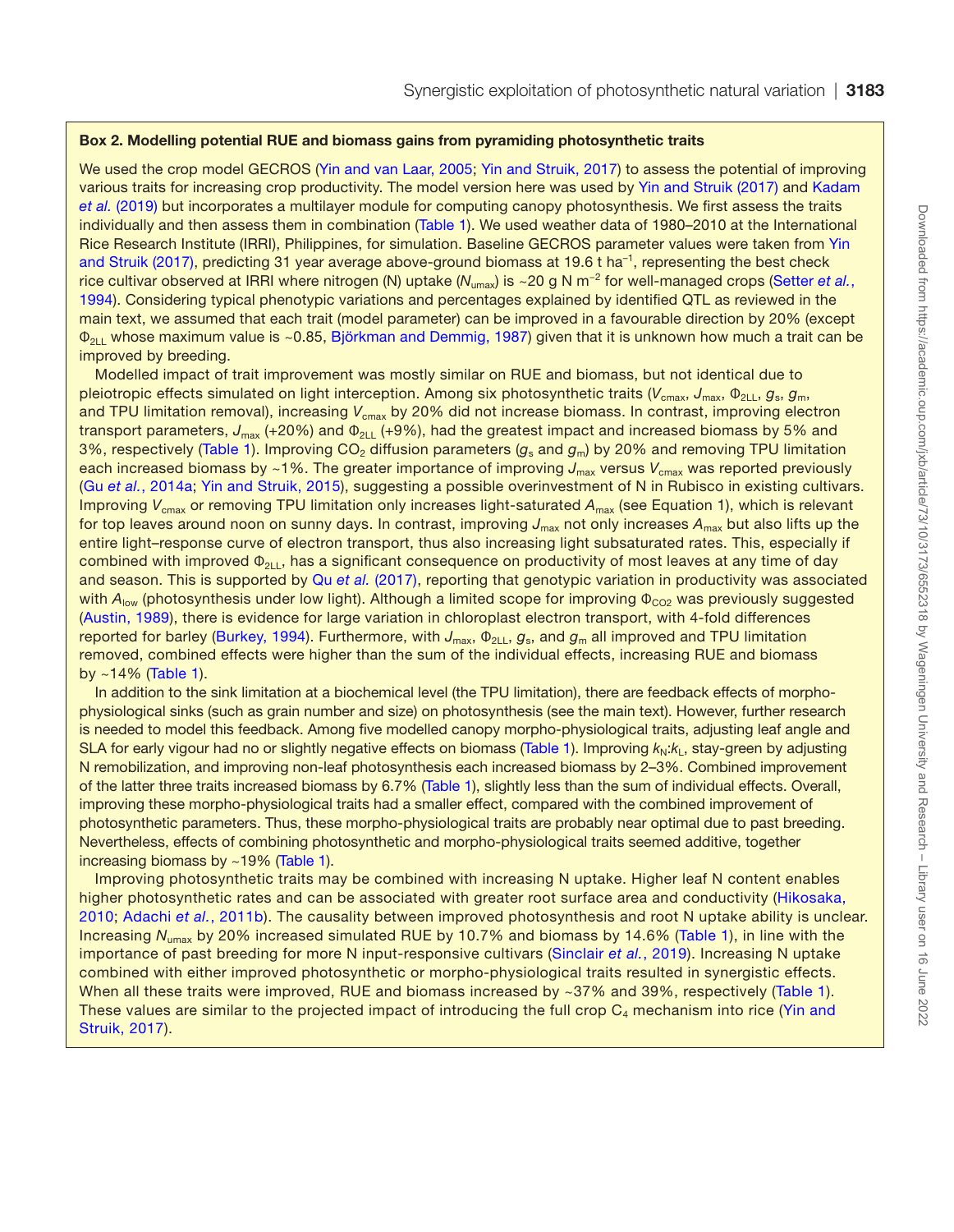### <span id="page-10-0"></span>Box 2. Modelling potential RUE and biomass gains from pyramiding photosynthetic traits

We used the crop model GECROS ([Yin and van Laar, 2005;](#page-15-30) [Yin and Struik, 2017\)](#page-15-2) to assess the potential of improving various traits for increasing crop productivity. The model version here was used by [Yin and Struik \(2017\)](#page-15-2) and [Kadam](#page-13-37)  *et al.* [\(2019\)](#page-13-37) but incorporates a multilayer module for computing canopy photosynthesis. We first assess the traits individually and then assess them in combination ([Table 1\)](#page-11-2). We used weather data of 1980–2010 at the International Rice Research Institute (IRRI), Philippines, for simulation. Baseline GECROS parameter values were taken from [Yin](#page-15-2)  [and Struik \(2017\),](#page-15-2) predicting 31 year average above-ground biomass at 19.6 t ha<sup>-1</sup>, representing the best check rice cultivar observed at IRRI where nitrogen (N) uptake (*N*umax) is ~20 g N m−2 for well-managed crops ([Setter](#page-14-22) *et al.*, [1994\)](#page-14-22). Considering typical phenotypic variations and percentages explained by identified QTL as reviewed in the main text, we assumed that each trait (model parameter) can be improved in a favourable direction by 20% (except Φ2LL whose maximum value is ~0.85, [Björkman and Demmig, 1987](#page-12-9)) given that it is unknown how much a trait can be improved by breeding.

Modelled impact of trait improvement was mostly similar on RUE and biomass, but not identical due to pleiotropic effects simulated on light interception. Among six photosynthetic traits ( $V_{\text{cmax}}$ ,  $J_{\text{max}}$ ,  $\Phi_{2\text{L}}$ ,  $g_{\text{s}}$ ,  $g_{\text{m}}$ , and TPU limitation removal), increasing V<sub>cmax</sub> by 20% did not increase biomass. In contrast, improving electron transport parameters, J<sub>max</sub> (+20%) and Φ<sub>2LL</sub> (+9%), had the greatest impact and increased biomass by 5% and 3%, respectively ([Table 1\)](#page-11-2). Improving CO<sub>2</sub> diffusion parameters (g<sub>s</sub> and g<sub>m</sub>) by 20% and removing TPU limitation each increased biomass by ~1%. The greater importance of improving J<sub>max</sub> versus V<sub>cmax</sub> was reported previously (Gu *et al.*[, 2014a;](#page-13-35) [Yin and Struik, 2015\)](#page-15-5), suggesting a possible overinvestment of N in Rubisco in existing cultivars. Improving V<sub>cmax</sub> or removing TPU limitation only increases light-saturated A<sub>max</sub> (see Equation 1), which is relevant for top leaves around noon on sunny days. In contrast, improving J<sub>max</sub> not only increases A<sub>max</sub> but also lifts up the entire light–response curve of electron transport, thus also increasing light subsaturated rates. This, especially if combined with improved  $\Phi_{2\perp}$ , has a significant consequence on productivity of most leaves at any time of day and season. This is supported by Qu *et al.* [\(2017\),](#page-14-5) reporting that genotypic variation in productivity was associated with  $A_{\text{low}}$  (photosynthesis under low light). Although a limited scope for improving  $\Phi_{\text{CO2}}$  was previously suggested ([Austin, 1989\)](#page-12-4), there is evidence for large variation in chloroplast electron transport, with 4-fold differences reported for barley ([Burkey, 1994](#page-12-36)). Furthermore, with *J<sub>max</sub>*, Φ<sub>2LL</sub>, *g<sub>s</sub>*, and *g*<sub>m</sub> all improved and TPU limitation removed, combined effects were higher than the sum of the individual effects, increasing RUE and biomass by  $~14\%$  ([Table 1](#page-11-2)).

In addition to the sink limitation at a biochemical level (the TPU limitation), there are feedback effects of morphophysiological sinks (such as grain number and size) on photosynthesis (see the main text). However, further research is needed to model this feedback. Among five modelled canopy morpho-physiological traits, adjusting leaf angle and SLA for early vigour had no or slightly negative effects on biomass ([Table 1\)](#page-11-2). Improving  $k_N:k_1$ , stay-green by adjusting N remobilization, and improving non-leaf photosynthesis each increased biomass by 2–3%. Combined improvement of the latter three traits increased biomass by 6.7% [\(Table 1](#page-11-2)), slightly less than the sum of individual effects. Overall, improving these morpho-physiological traits had a smaller effect, compared with the combined improvement of photosynthetic parameters. Thus, these morpho-physiological traits are probably near optimal due to past breeding. Nevertheless, effects of combining photosynthetic and morpho-physiological traits seemed additive, together increasing biomass by ~19% [\(Table 1\)](#page-11-2).

Improving photosynthetic traits may be combined with increasing N uptake. Higher leaf N content enables higher photosynthetic rates and can be associated with greater root surface area and conductivity ([Hikosaka,](#page-13-8)  [2010](#page-13-8); [Adachi](#page-12-29) *et al.*, 2011b). The causality between improved photosynthesis and root N uptake ability is unclear. Increasing *N*umax by 20% increased simulated RUE by 10.7% and biomass by 14.6% ([Table 1\)](#page-11-2), in line with the importance of past breeding for more N input-responsive cultivars ([Sinclair](#page-15-4) *et al.*, 2019). Increasing N uptake combined with either improved photosynthetic or morpho-physiological traits resulted in synergistic effects. When all these traits were improved, RUE and biomass increased by ~37% and 39%, respectively [\(Table 1\)](#page-11-2). These values are similar to the projected impact of introducing the full crop  $C_4$  mechanism into rice (Yin and [Struik, 2017](#page-15-2)).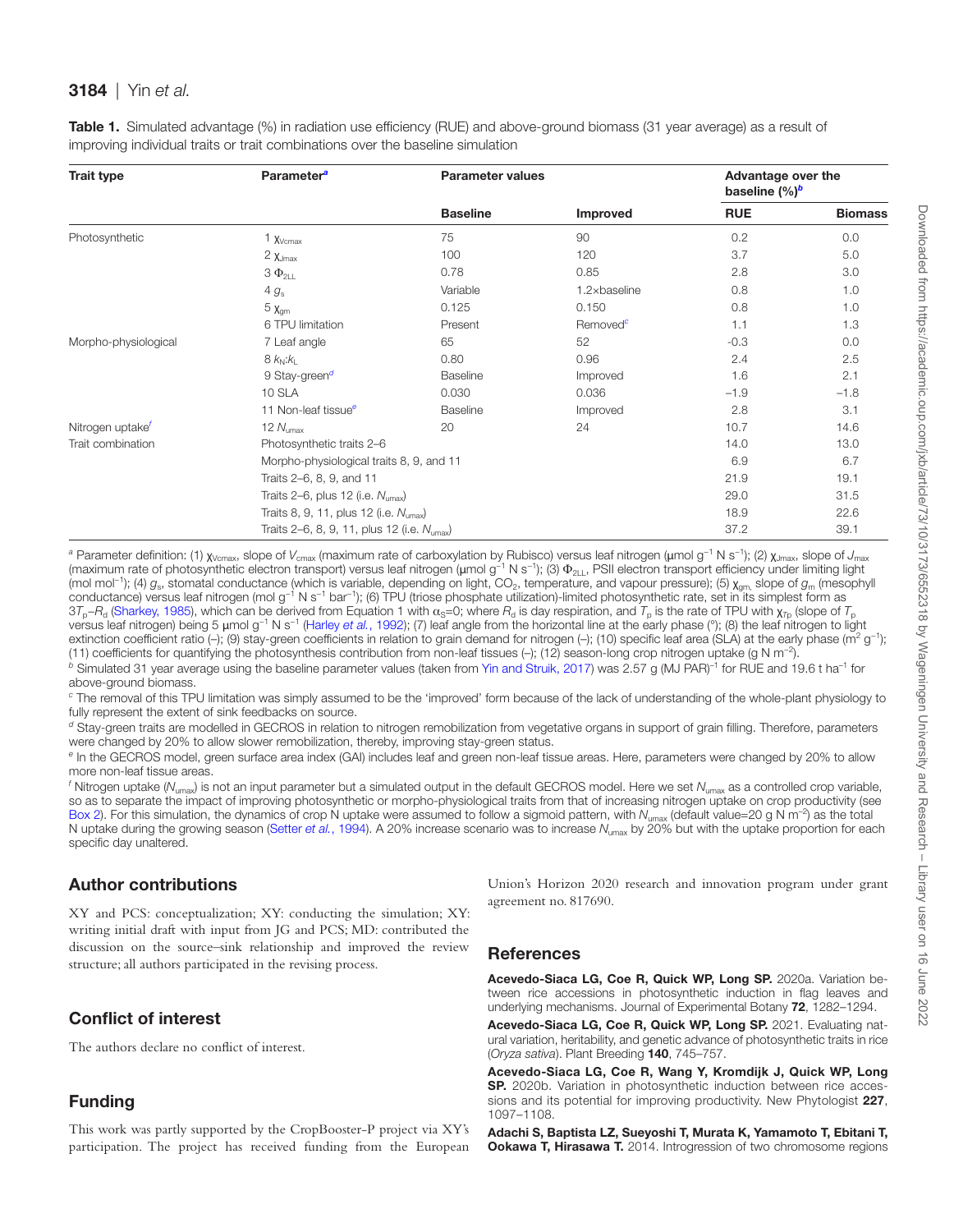| <b>Trait type</b>            | <b>Parameter</b> <sup>a</sup>                           | <b>Parameter values</b> |                       | Advantage over the<br>baseline $(\%)^b$ |                |
|------------------------------|---------------------------------------------------------|-------------------------|-----------------------|-----------------------------------------|----------------|
|                              |                                                         | <b>Baseline</b>         | <b>Improved</b>       | <b>RUE</b>                              | <b>Biomass</b> |
| Photosynthetic               | $1 \times$ Vcmax                                        | 75                      | 90                    | 0.2                                     | 0.0            |
|                              | $2 \chi_{Jmax}$                                         | 100                     | 120                   | 3.7                                     | 5.0            |
|                              | $3 \Phi_{2LL}$                                          | 0.78                    | 0.85                  | 2.8                                     | 3.0            |
|                              | $4 g_s$                                                 | Variable                | $1.2 \times$ baseline | 0.8                                     | 1.0            |
|                              | $5\ \text{Xgm}$                                         | 0.125                   | 0.150                 | 0.8                                     | 1.0            |
|                              | 6 TPU limitation                                        | Present                 | Removed <sup>c</sup>  | 1.1                                     | 1.3            |
| Morpho-physiological         | 7 Leaf angle                                            | 65                      | 52                    | $-0.3$                                  | 0.0            |
|                              | $8k_N: k_1$                                             | 0.80                    | 0.96                  | 2.4                                     | 2.5            |
|                              | 9 Stay-green <sup>d</sup>                               | Baseline                | Improved              | 1.6                                     | 2.1            |
|                              | 10 SLA                                                  | 0.030                   | 0.036                 | $-1.9$                                  | $-1.8$         |
|                              | 11 Non-leaf tissue <sup>e</sup>                         | Baseline                | Improved              | 2.8                                     | 3.1            |
| Nitrogen uptake <sup>f</sup> | 12 $N_{\text{umax}}$                                    | 20                      | 24                    | 10.7                                    | 14.6           |
| Trait combination            | Photosynthetic traits 2-6                               |                         |                       | 14.0                                    | 13.0           |
|                              | Morpho-physiological traits 8, 9, and 11                |                         |                       | 6.9                                     | 6.7            |
|                              | Traits 2-6, 8, 9, and 11                                |                         |                       | 21.9                                    | 19.1           |
|                              | Traits 2–6, plus 12 (i.e. $N_{\text{umax}}$ )           |                         |                       | 29.0                                    | 31.5           |
|                              | Traits 8, 9, 11, plus 12 (i.e. $N_{\text{umax}}$ )      |                         |                       | 18.9                                    | 22.6           |
|                              | Traits 2–6, 8, 9, 11, plus 12 (i.e. N <sub>umax</sub> ) |                         |                       | 37.2                                    | 39.1           |

<span id="page-11-2"></span>Table 1. Simulated advantage (%) in radiation use efficiency (RUE) and above-ground biomass (31 year average) as a result of improving individual traits or trait combinations over the baseline simulation

<span id="page-11-4"></span><sup>a</sup> Parameter definition: (1) χ<sub>Vcmax</sub>, slope of *V<sub>cmax</sub> (maximum rate of carboxylation by Rubisco) versus leaf nitrogen (μmol g<sup>−1</sup> N s<sup>−1</sup>); (2) χ<sub>Jmax</sub>, slope of <i>J<sub>max</sub>* (maximum rate of photosynthetic electron transport) versus leaf nitrogen (μmol g<sup>-1</sup> N s<sup>-1</sup>); (3) Φ<sub>2LL</sub>, PSII electron transport efficiency under limiting light (mol mol<sup>-1</sup>); (4)  $g_s$ , stomatal conductance (which is variable, depending on light, CO<sub>2</sub>, temperature, and vapour pressure); (5)  $\chi_{\text{om}}$  slope of  $g_{\text{m}}$  (mesophyll conductance) versus leaf nitrogen (mol g−1 N s−1 bar−1); (6) TPU (triose phosphate utilization)-limited photosynthetic rate, set in its simplest form as  $37_p-R_d$  [\(Sharkey, 1985\)](#page-15-11), which can be derived from Equation 1 with  $\alpha_s=0$ ; where  $R_d$  is day respiration, and  $T_p$  is the rate of TPU with  $\chi_{T_p}$  (slope of  $T_p$ versus leaf nitrogen) being 5 μmol g−1 N s−1 ([Harley](#page-13-38) *et al.*, 1992); (7) leaf angle from the horizontal line at the early phase (°); (8) the leaf nitrogen to light extinction coefficient ratio (-); (9) stay-green coefficients in relation to grain demand for nitrogen (-); (10) specific leaf area (SLA) at the early phase (m<sup>2</sup> g<sup>-1</sup>); (11) coefficients for quantifying the photosynthesis contribution from non-leaf tissues (–); (12) season-long crop nitrogen uptake (g N m−2). *b* Simulated 31 year average using the baseline parameter values (taken from [Yin and Struik, 2017\)](#page-15-2) was 2.57 g (MJ PAR)–1 for RUE and 19.6 t ha–1 for above-ground biomass.

<span id="page-11-6"></span><span id="page-11-5"></span>*c* The removal of this TPU limitation was simply assumed to be the 'improved' form because of the lack of understanding of the whole-plant physiology to fully represent the extent of sink feedbacks on source.

<span id="page-11-7"></span>*d* Stay-green traits are modelled in GECROS in relation to nitrogen remobilization from vegetative organs in support of grain filling. Therefore, parameters were changed by 20% to allow slower remobilization, thereby, improving stay-green status.

<span id="page-11-8"></span>*e* In the GECROS model, green surface area index (GAI) includes leaf and green non-leaf tissue areas. Here, parameters were changed by 20% to allow more non-leaf tissue areas.

<span id="page-11-9"></span><sup>f</sup> Nitrogen uptake (N<sub>umax</sub>) is not an input parameter but a simulated output in the default GECROS model. Here we set N<sub>umax</sub> as a controlled crop variable, so as to separate the impact of improving photosynthetic or morpho-physiological traits from that of increasing nitrogen uptake on crop productivity (see [Box 2\)](#page-10-0). For this simulation, the dynamics of crop N uptake were assumed to follow a sigmoid pattern, with N<sub>umax</sub> (default value=20 g N m<sup>-2</sup>) as the total N uptake during the growing season [\(Setter](#page-14-22) *et al.*, 1994). A 20% increase scenario was to increase  $N_{\text{umax}}$  by 20% but with the uptake proportion for each specific day unaltered.

# Author contributions

XY and PCS: conceptualization; XY: conducting the simulation; XY: writing initial draft with input from JG and PCS; MD: contributed the discussion on the source–sink relationship and improved the review structure; all authors participated in the revising process.

# Conflict of interest

The authors declare no conflict of interest.

# Funding

This work was partly supported by the CropBooster-P project via XY's participation. The project has received funding from the European Union's Horizon 2020 research and innovation program under grant agreement no. 817690.

## **References**

Acevedo-Siaca LG, Coe R, Quick WP, Long SP. 2020a. Variation between rice accessions in photosynthetic induction in flag leaves and underlying mechanisms. Journal of Experimental Botany 72, 1282–1294.

<span id="page-11-0"></span>Acevedo-Siaca LG, Coe R, Quick WP, Long SP. 2021. Evaluating natural variation, heritability, and genetic advance of photosynthetic traits in rice (*Oryza sativa*). Plant Breeding 140, 745–757.

<span id="page-11-3"></span>Acevedo-Siaca LG, Coe R, Wang Y, Kromdijk J, Quick WP, Long SP. 2020b. Variation in photosynthetic induction between rice accessions and its potential for improving productivity. New Phytologist 227, 1097–1108.

<span id="page-11-1"></span>Adachi S, Baptista LZ, Sueyoshi T, Murata K, Yamamoto T, Ebitani T, **Ookawa T, Hirasawa T.** 2014. Introgression of two chromosome regions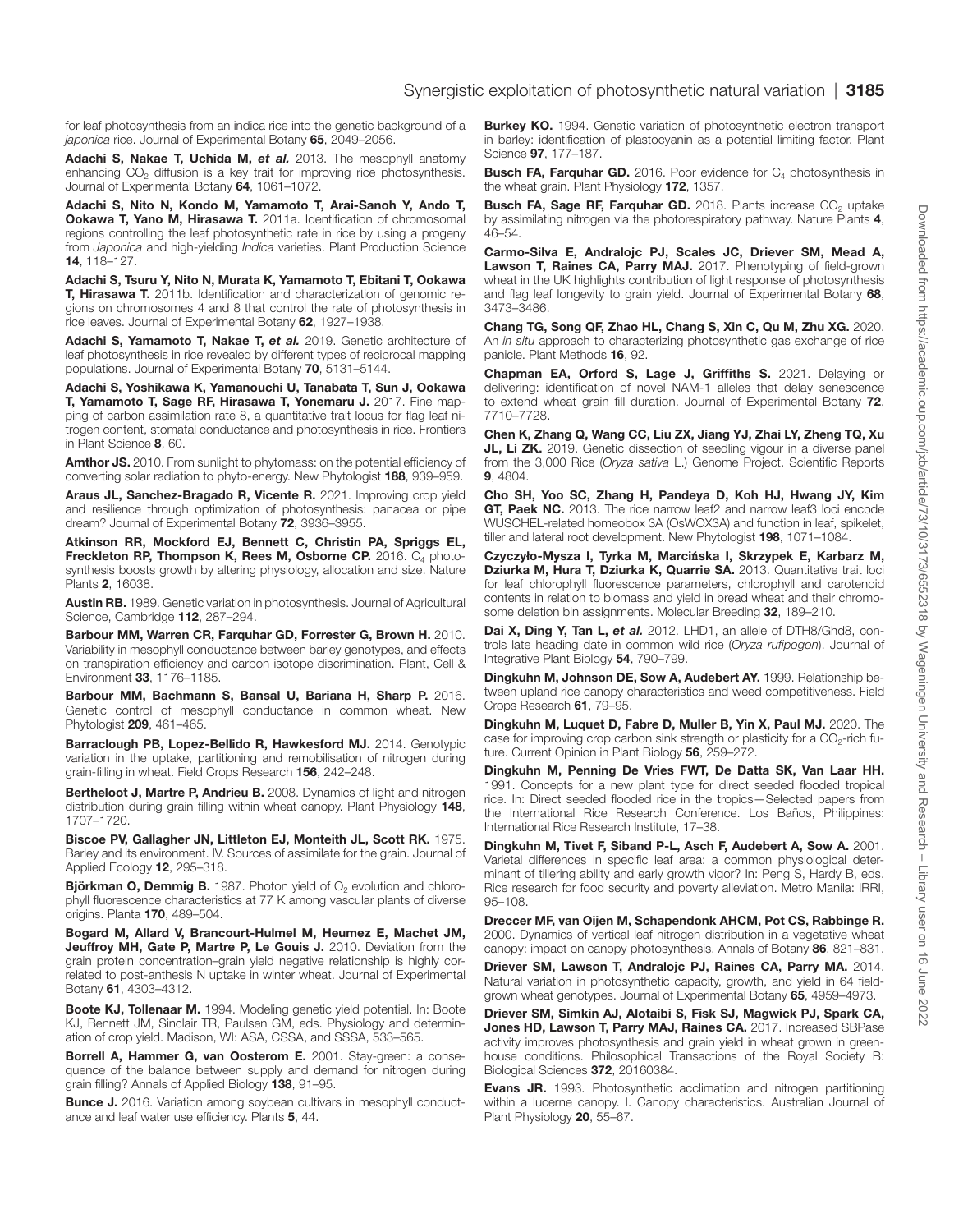for leaf photosynthesis from an indica rice into the genetic background of a *japonica* rice. Journal of Experimental Botany 65, 2049–2056.

<span id="page-12-30"></span>Adachi S, Nakae T, Uchida M, *et al.* 2013. The mesophyll anatomy enhancing CO<sub>2</sub> diffusion is a key trait for improving rice photosynthesis. Journal of Experimental Botany 64, 1061–1072.

<span id="page-12-28"></span>Adachi S, Nito N, Kondo M, Yamamoto T, Arai-Sanoh Y, Ando T, **Ookawa T, Yano M, Hirasawa T.** 2011a. Identification of chromosomal regions controlling the leaf photosynthetic rate in rice by using a progeny from *Japonica* and high-yielding *Indica* varieties. Plant Production Science 14, 118–127.

<span id="page-12-29"></span>Adachi S, Tsuru Y, Nito N, Murata K, Yamamoto T, Ebitani T, Ookawa T, Hirasawa T. 2011b. Identification and characterization of genomic regions on chromosomes 4 and 8 that control the rate of photosynthesis in rice leaves. Journal of Experimental Botany 62, 1927–1938.

<span id="page-12-31"></span>Adachi S, Yamamoto T, Nakae T, *et al.* 2019. Genetic architecture of leaf photosynthesis in rice revealed by different types of reciprocal mapping populations. Journal of Experimental Botany 70, 5131–5144.

<span id="page-12-33"></span>Adachi S, Yoshikawa K, Yamanouchi U, Tanabata T, Sun J, Ookawa T, Yamamoto T, Sage RF, Hirasawa T, Yonemaru J. 2017. Fine mapping of carbon assimilation rate 8, a quantitative trait locus for flag leaf nitrogen content, stomatal conductance and photosynthesis in rice. Frontiers in Plant Science 8, 60.

<span id="page-12-7"></span>Amthor JS. 2010. From sunlight to phytomass: on the potential efficiency of converting solar radiation to phyto-energy. New Phytologist 188, 939–959.

<span id="page-12-1"></span>Araus JL, Sanchez-Bragado R, Vicente R. 2021. Improving crop yield and resilience through optimization of photosynthesis: panacea or pipe dream? Journal of Experimental Botany 72, 3936–3955.

<span id="page-12-23"></span>Atkinson RR, Mockford EJ, Bennett C, Christin PA, Spriggs EL, Freckleton RP, Thompson K, Rees M, Osborne CP. 2016. C<sub>4</sub> photosynthesis boosts growth by altering physiology, allocation and size. Nature Plants 2, 16038.

<span id="page-12-4"></span>Austin RB. 1989. Genetic variation in photosynthesis. Journal of Agricultural Science, Cambridge 112, 287–294.

<span id="page-12-11"></span>Barbour MM, Warren CR, Farquhar GD, Forrester G, Brown H. 2010. Variability in mesophyll conductance between barley genotypes, and effects on transpiration efficiency and carbon isotope discrimination. Plant, Cell & Environment 33, 1176–1185.

<span id="page-12-27"></span>Barbour MM, Bachmann S, Bansal U, Bariana H, Sharp P. 2016. Genetic control of mesophyll conductance in common wheat. New Phytologist 209, 461–465.

<span id="page-12-20"></span>Barraclough PB, Lopez-Bellido R, Hawkesford MJ. 2014. Genotypic variation in the uptake, partitioning and remobilisation of nitrogen during grain-filling in wheat. Field Crops Research 156, 242–248.

<span id="page-12-16"></span>Bertheloot J, Martre P, Andrieu B. 2008. Dynamics of light and nitrogen distribution during grain filling within wheat canopy. Plant Physiology 148, 1707–1720.

<span id="page-12-24"></span>Biscoe PV, Gallagher JN, Littleton EJ, Monteith JL, Scott RK. 1975. Barley and its environment. IV. Sources of assimilate for the grain. Journal of Applied Ecology 12, 295–318.

<span id="page-12-9"></span>**Björkman O, Demmig B.** 1987. Photon yield of  $O<sub>2</sub>$  evolution and chlorophyll fluorescence characteristics at 77 K among vascular plants of diverse origins. Planta 170, 489–504.

<span id="page-12-17"></span>Bogard M, Allard V, Brancourt-Hulmel M, Heumez E, Machet JM, Jeuffroy MH, Gate P, Martre P, Le Gouis J. 2010. Deviation from the grain protein concentration–grain yield negative relationship is highly correlated to post-anthesis N uptake in winter wheat. Journal of Experimental Botany 61, 4303–4312.

<span id="page-12-5"></span>Boote KJ, Tollenaar M. 1994. Modeling genetic yield potential. In: Boote KJ, Bennett JM, Sinclair TR, Paulsen GM, eds. Physiology and determination of crop yield. Madison, WI: ASA, CSSA, and SSSA, 533–565.

<span id="page-12-18"></span>Borrell A, Hammer G, van Oosterom E. 2001. Stay-green: a consequence of the balance between supply and demand for nitrogen during grain filling? Annals of Applied Biology 138, 91–95.

<span id="page-12-12"></span>Bunce J. 2016. Variation among soybean cultivars in mesophyll conductance and leaf water use efficiency. Plants 5, 44.

<span id="page-12-36"></span>Burkey KO. 1994. Genetic variation of photosynthetic electron transport in barley: identification of plastocyanin as a potential limiting factor. Plant Science 97, 177–187.

<span id="page-12-26"></span>**Busch FA, Farquhar GD.** 2016. Poor evidence for  $C_4$  photosynthesis in the wheat grain. Plant Physiology 172, 1357.

<span id="page-12-2"></span>Busch FA, Sage RF, Farquhar GD. 2018. Plants increase CO<sub>2</sub> uptake by assimilating nitrogen via the photorespiratory pathway. Nature Plants 4, 46–54.

<span id="page-12-3"></span>Carmo-Silva E, Andralojc PJ, Scales JC, Driever SM, Mead A, Lawson T, Raines CA, Parry MAJ. 2017. Phenotyping of field-grown wheat in the UK highlights contribution of light response of photosynthesis and flag leaf longevity to grain yield. Journal of Experimental Botany 68, 3473–3486.

<span id="page-12-25"></span>Chang TG, Song QF, Zhao HL, Chang S, Xin C, Qu M, Zhu XG. 2020. An *in situ* approach to characterizing photosynthetic gas exchange of rice panicle. Plant Methods 16, 92.

<span id="page-12-19"></span>Chapman EA, Orford S, Lage J, Griffiths S. 2021. Delaying or delivering: identification of novel NAM-1 alleles that delay senescence to extend wheat grain fill duration. Journal of Experimental Botany 72, 7710–7728.

<span id="page-12-35"></span>Chen K, Zhang Q, Wang CC, Liu ZX, Jiang YJ, Zhai LY, Zheng TQ, Xu JL, Li ZK. 2019. Genetic dissection of seedling vigour in a diverse panel from the 3,000 Rice (*Oryza sativa* L.) Genome Project. Scientific Reports 9, 4804.

<span id="page-12-34"></span>Cho SH, Yoo SC, Zhang H, Pandeya D, Koh HJ, Hwang JY, Kim GT, Paek NC. 2013. The rice narrow leaf2 and narrow leaf3 loci encode WUSCHEL-related homeobox 3A (OsWOX3A) and function in leaf, spikelet, tiller and lateral root development. New Phytologist 198, 1071-1084.

<span id="page-12-10"></span>Czyczyło-Mysza I, Tyrka M, Marci**ń**ska I, Skrzypek E, Karbarz M, Dziurka M, Hura T, Dziurka K, Quarrie SA. 2013. Quantitative trait loci for leaf chlorophyll fluorescence parameters, chlorophyll and carotenoid contents in relation to biomass and yield in bread wheat and their chromosome deletion bin assignments. Molecular Breeding 32, 189–210.

<span id="page-12-32"></span>Dai X, Ding Y, Tan L, et al. 2012. LHD1, an allele of DTH8/Ghd8, controls late heading date in common wild rice (*Oryza rufipogon*). Journal of Integrative Plant Biology 54, 790–799.

<span id="page-12-21"></span>Dingkuhn M, Johnson DE, Sow A, Audebert AY. 1999. Relationship between upland rice canopy characteristics and weed competitiveness. Field Crops Research 61, 79–95.

<span id="page-12-8"></span>Dingkuhn M, Luquet D, Fabre D, Muller B, Yin X, Paul MJ. 2020. The case for improving crop carbon sink strength or plasticity for a  $CO<sub>2</sub>$ -rich future. Current Opinion in Plant Biology 56, 259–272.

<span id="page-12-15"></span>Dingkuhn M, Penning De Vries FWT, De Datta SK, Van Laar HH. 1991. Concepts for a new plant type for direct seeded flooded tropical rice. In: Direct seeded flooded rice in the tropics—Selected papers from the International Rice Research Conference. Los Baños, Philippines: International Rice Research Institute, 17–38.

<span id="page-12-6"></span>Dingkuhn M, Tivet F, Siband P-L, Asch F, Audebert A, Sow A. 2001. Varietal differences in specific leaf area: a common physiological determinant of tillering ability and early growth vigor? In: Peng S, Hardy B, eds. Rice research for food security and poverty alleviation. Metro Manila: IRRI, 95–108.

<span id="page-12-14"></span>Dreccer MF, van Oijen M, Schapendonk AHCM, Pot CS, Rabbinge R. 2000. Dynamics of vertical leaf nitrogen distribution in a vegetative wheat canopy: impact on canopy photosynthesis. Annals of Botany 86, 821–831.

<span id="page-12-0"></span>Driever SM, Lawson T, Andralojc PJ, Raines CA, Parry MA. 2014. Natural variation in photosynthetic capacity, growth, and yield in 64 fieldgrown wheat genotypes. Journal of Experimental Botany 65, 4959–4973.

<span id="page-12-22"></span>Driever SM, Simkin AJ, Alotaibi S, Fisk SJ, Magwick PJ, Spark CA, Jones HD, Lawson T, Parry MAJ, Raines CA. 2017. Increased SBPase activity improves photosynthesis and grain yield in wheat grown in greenhouse conditions. Philosophical Transactions of the Royal Society B: Biological Sciences 372, 20160384.

<span id="page-12-13"></span>Evans JR. 1993. Photosynthetic acclimation and nitrogen partitioning within a lucerne canopy. I. Canopy characteristics. Australian Journal of Plant Physiology 20, 55–67.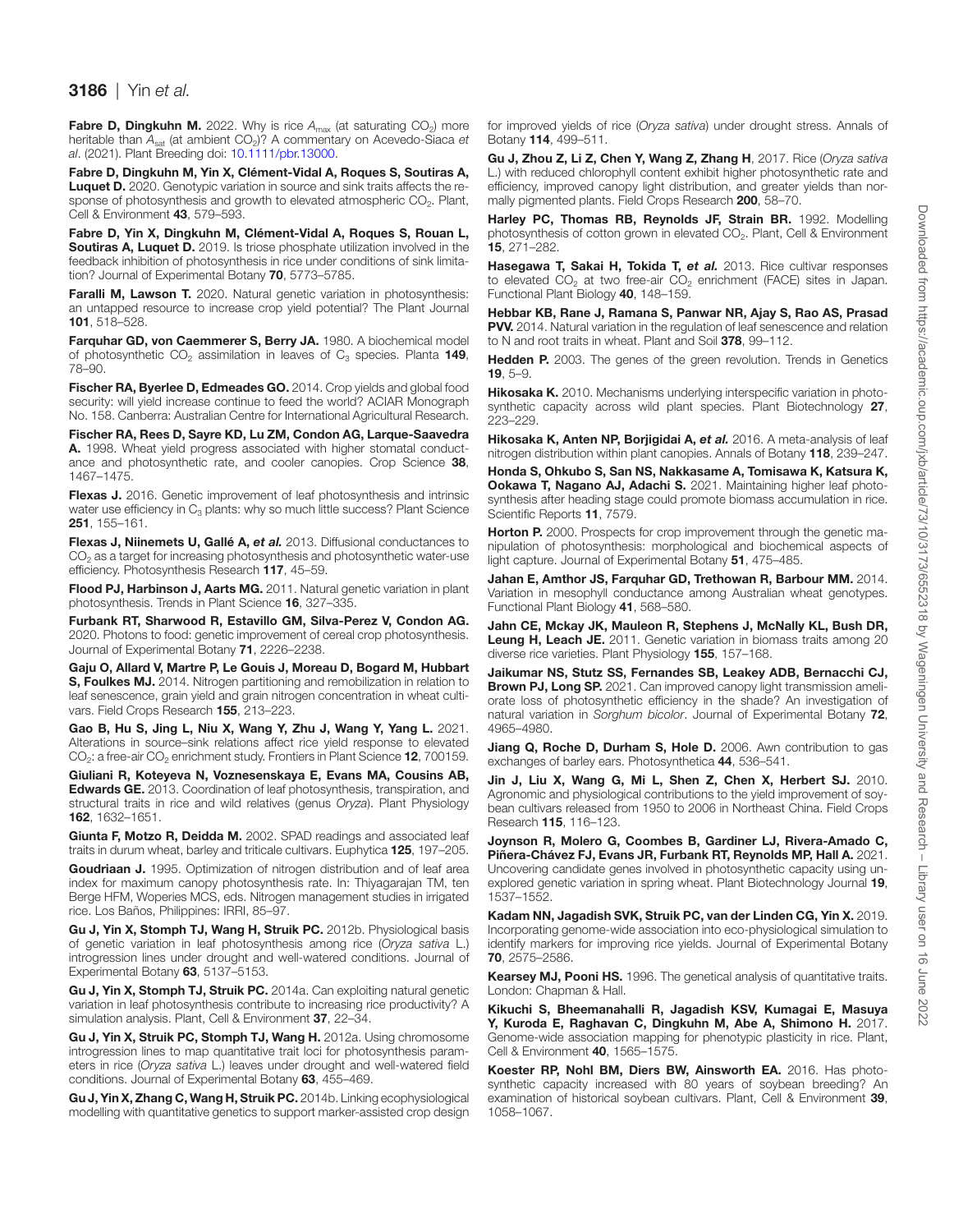<span id="page-13-23"></span>**Fabre D, Dingkuhn M.** 2022. Why is rice A<sub>max</sub> (at saturating CO<sub>2</sub>) more heritable than  $A_{sat}$  (at ambient CO<sub>2</sub>)? A commentary on Acevedo-Siaca *et al*. (2021). Plant Breeding doi: [10.1111/pbr.13000](https://doi.org/10.1111/pbr.13000).

<span id="page-13-12"></span>Fabre D, Dingkuhn M, Yin X, Clément-Vidal A, Roques S, Soutiras A, Luquet D. 2020. Genotypic variation in source and sink traits affects the response of photosynthesis and growth to elevated atmospheric CO<sub>2</sub>. Plant, Cell & Environment 43, 579–593.

<span id="page-13-11"></span>Fabre D, Yin X, Dingkuhn M, Clément-Vidal A, Roques S, Rouan L, Soutiras A, Luquet D. 2019. Is triose phosphate utilization involved in the feedback inhibition of photosynthesis in rice under conditions of sink limitation? Journal of Experimental Botany 70, 5773–5785.

<span id="page-13-17"></span>Faralli M, Lawson T. 2020. Natural genetic variation in photosynthesis: an untapped resource to increase crop yield potential? The Plant Journal 101, 518–528.

<span id="page-13-5"></span>Farquhar GD, von Caemmerer S, Berry JA. 1980. A biochemical model of photosynthetic  $CO<sub>2</sub>$  assimilation in leaves of  $C<sub>3</sub>$  species. Planta 149, 78–90.

<span id="page-13-36"></span>Fischer RA, Byerlee D, Edmeades GO. 2014. Crop yields and global food security: will yield increase continue to feed the world? ACIAR Monograph No. 158. Canberra: Australian Centre for International Agricultural Research.

<span id="page-13-18"></span>Fischer RA, Rees D, Sayre KD, Lu ZM, Condon AG, Larque-Saavedra A. 1998. Wheat yield progress associated with higher stomatal conductance and photosynthetic rate, and cooler canopies. Crop Science 38, 1467–1475.

<span id="page-13-4"></span>Flexas J. 2016. Genetic improvement of leaf photosynthesis and intrinsic water use efficiency in  $C_3$  plants: why so much little success? Plant Science 251, 155–161.

<span id="page-13-20"></span>Flexas J, Niinemets U, Gallé A, et al. 2013. Diffusional conductances to  $CO<sub>2</sub>$  as a target for increasing photosynthesis and photosynthetic water-use efficiency. Photosynthesis Research 117, 45–59.

<span id="page-13-1"></span>Flood PJ, Harbinson J, Aarts MG. 2011. Natural genetic variation in plant photosynthesis. Trends in Plant Science 16, 327–335.

<span id="page-13-0"></span>Furbank RT, Sharwood R, Estavillo GM, Silva-Perez V, Condon AG. 2020. Photons to food: genetic improvement of cereal crop photosynthesis. Journal of Experimental Botany 71, 2226–2238.

<span id="page-13-28"></span>Gaju O, Allard V, Martre P, Le Gouis J, Moreau D, Bogard M, Hubbart S, Foulkes MJ. 2014. Nitrogen partitioning and remobilization in relation to leaf senescence, grain yield and grain nitrogen concentration in wheat cultivars. Field Crops Research 155, 213–223.

<span id="page-13-22"></span>Gao B, Hu S, Jing L, Niu X, Wang Y, Zhu J, Wang Y, Yang L. 2021. Alterations in source–sink relations affect rice yield response to elevated  $CO<sub>2</sub>$ : a free-air  $CO<sub>2</sub>$  enrichment study. Frontiers in Plant Science **12**, 700159.

<span id="page-13-19"></span>Giuliani R, Koteyeva N, Voznesenskaya E, Evans MA, Cousins AB, Edwards GE. 2013. Coordination of leaf photosynthesis, transpiration, and structural traits in rice and wild relatives (genus *Oryza*). Plant Physiology 162, 1632–1651.

<span id="page-13-15"></span>Giunta F, Motzo R, Deidda M. 2002. SPAD readings and associated leaf traits in durum wheat, barley and triticale cultivars. Euphytica 125, 197–205.

<span id="page-13-10"></span>Goudriaan J. 1995. Optimization of nitrogen distribution and of leaf area index for maximum canopy photosynthesis rate. In: Thiyagarajan TM, ten Berge HFM, Woperies MCS, eds. Nitrogen management studies in irrigated rice. Los Baños, Philippines: IRRI, 85–97.

<span id="page-13-34"></span>Gu J, Yin X, Stomph TJ, Wang H, Struik PC. 2012b. Physiological basis of genetic variation in leaf photosynthesis among rice (*Oryza sativa* L.) introgression lines under drought and well-watered conditions. Journal of Experimental Botany 63, 5137–5153.

<span id="page-13-35"></span>Gu J. Yin X. Stomph TJ. Struik PC. 2014a. Can exploiting natural genetic variation in leaf photosynthesis contribute to increasing rice productivity? A simulation analysis. Plant, Cell & Environment 37, 22–34.

<span id="page-13-2"></span>Gu J, Yin X, Struik PC, Stomph TJ, Wang H. 2012a. Using chromosome introgression lines to map quantitative trait loci for photosynthesis parameters in rice (*Oryza sativa* L.) leaves under drought and well-watered field conditions. Journal of Experimental Botany 63, 455–469.

<span id="page-13-3"></span>Gu J, Yin X, Zhang C, Wang H, Struik PC. 2014b. Linking ecophysiological modelling with quantitative genetics to support marker-assisted crop design

for improved yields of rice (*Oryza sativa*) under drought stress. Annals of Botany 114, 499–511.

<span id="page-13-24"></span>Gu J, Zhou Z, Li Z, Chen Y, Wang Z, Zhang H, 2017. Rice (*Oryza sativa* L.) with reduced chlorophyll content exhibit higher photosynthetic rate and efficiency, improved canopy light distribution, and greater yields than normally pigmented plants. Field Crops Research 200, 58–70.

<span id="page-13-38"></span>Harley PC, Thomas RB, Reynolds JF, Strain BR. 1992. Modelling photosynthesis of cotton grown in elevated CO<sub>2</sub>. Plant, Cell & Environment 15, 271–282.

<span id="page-13-13"></span>Hasegawa T, Sakai H, Tokida T, et al. 2013. Rice cultivar responses to elevated  $CO<sub>2</sub>$  at two free-air  $CO<sub>2</sub>$  enrichment (FACE) sites in Japan. Functional Plant Biology 40, 148–159.

<span id="page-13-29"></span>Hebbar KB, Rane J, Ramana S, Panwar NR, Ajay S, Rao AS, Prasad PVV. 2014. Natural variation in the regulation of leaf senescence and relation to N and root traits in wheat. Plant and Soil 378, 99-112.

<span id="page-13-9"></span>**Hedden P.** 2003. The genes of the green revolution. Trends in Genetics 19, 5–9.

<span id="page-13-8"></span>Hikosaka K. 2010. Mechanisms underlying interspecific variation in photosynthetic capacity across wild plant species. Plant Biotechnology 27, 223–229.

<span id="page-13-27"></span>Hikosaka K, Anten NP, Borjigidai A, et al. 2016. A meta-analysis of leaf nitrogen distribution within plant canopies. Annals of Botany 118, 239–247.

<span id="page-13-33"></span>Honda S, Ohkubo S, San NS, Nakkasame A, Tomisawa K, Katsura K, Ookawa T, Nagano AJ, Adachi S. 2021. Maintaining higher leaf photosynthesis after heading stage could promote biomass accumulation in rice. Scientific Reports 11, 7579.

<span id="page-13-25"></span>Horton P. 2000. Prospects for crop improvement through the genetic manipulation of photosynthesis: morphological and biochemical aspects of light capture. Journal of Experimental Botany 51, 475–485.

<span id="page-13-7"></span>Jahan E, Amthor JS, Farquhar GD, Trethowan R, Barbour MM. 2014. Variation in mesophyll conductance among Australian wheat genotypes. Functional Plant Biology 41, 568–580.

<span id="page-13-16"></span>Jahn CE, Mckay JK, Mauleon R, Stephens J, McNally KL, Bush DR, Leung H, Leach JE. 2011. Genetic variation in biomass traits among 20 diverse rice varieties. Plant Physiology 155, 157–168.

<span id="page-13-26"></span>Jaikumar NS, Stutz SS, Fernandes SB, Leakey ADB, Bernacchi CJ, Brown PJ, Long SP. 2021. Can improved canopy light transmission ameliorate loss of photosynthetic efficiency in the shade? An investigation of natural variation in *Sorghum bicolor*. Journal of Experimental Botany 72, 4965–4980.

<span id="page-13-30"></span>Jiang Q, Roche D, Durham S, Hole D. 2006. Awn contribution to gas exchanges of barley ears. Photosynthetica 44, 536–541.

<span id="page-13-6"></span>Jin J, Liu X, Wang G, Mi L, Shen Z, Chen X, Herbert SJ. 2010. Agronomic and physiological contributions to the yield improvement of soybean cultivars released from 1950 to 2006 in Northeast China. Field Crops Research 115, 116–123.

<span id="page-13-32"></span>Joynson R, Molero G, Coombes B, Gardiner LJ, Rivera-Amado C, Piñera-Chávez FJ, Evans JR, Furbank RT, Reynolds MP, Hall A. 2021. Uncovering candidate genes involved in photosynthetic capacity using unexplored genetic variation in spring wheat. Plant Biotechnology Journal 19, 1537–1552.

<span id="page-13-37"></span>Kadam NN, Jagadish SVK, Struik PC, van der Linden CG, Yin X. 2019. Incorporating genome-wide association into eco-physiological simulation to identify markers for improving rice yields. Journal of Experimental Botany 70, 2575–2586.

<span id="page-13-31"></span>Kearsey MJ, Pooni HS. 1996. The genetical analysis of quantitative traits. London: Chapman & Hall.

<span id="page-13-21"></span>Kikuchi S, Bheemanahalli R, Jagadish KSV, Kumagai E, Masuya Y, Kuroda E, Raghavan C, Dingkuhn M, Abe A, Shimono H. 2017. Genome-wide association mapping for phenotypic plasticity in rice. Plant, Cell & Environment 40, 1565–1575.

<span id="page-13-14"></span>Koester RP, Nohl BM, Diers BW, Ainsworth EA. 2016. Has photosynthetic capacity increased with 80 years of soybean breeding? An examination of historical soybean cultivars. Plant, Cell & Environment 39, 1058–1067.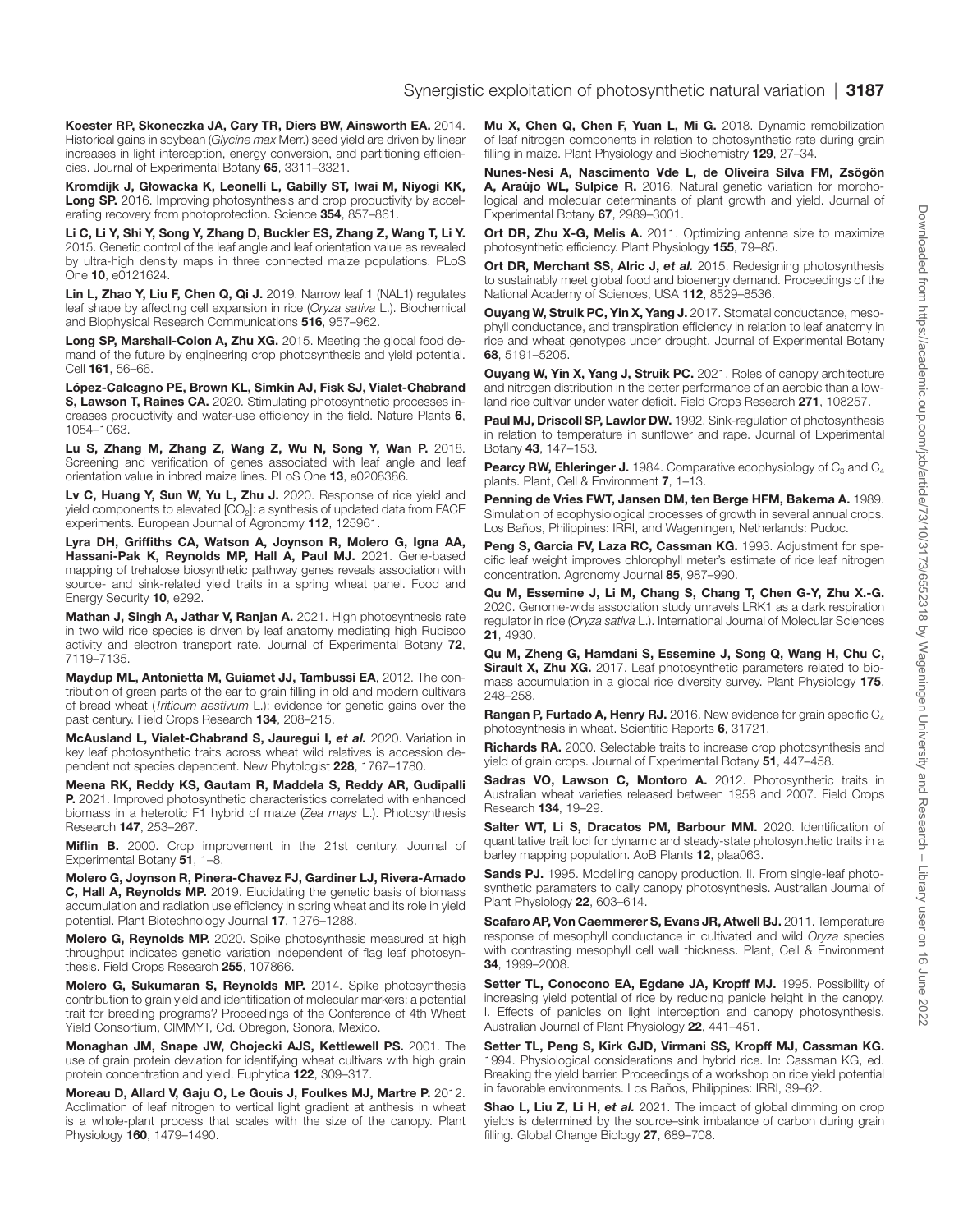<span id="page-14-11"></span>Koester RP, Skoneczka JA, Cary TR, Diers BW, Ainsworth EA. 2014. Historical gains in soybean (*Glycine max* Merr.) seed yield are driven by linear increases in light interception, energy conversion, and partitioning efficiencies. Journal of Experimental Botany 65, 3311–3321.

<span id="page-14-2"></span>Kromdijk J, Głowacka K, Leonelli L, Gabilly ST, Iwai M, Niyogi KK, Long SP. 2016. Improving photosynthesis and crop productivity by accelerating recovery from photoprotection. Science 354, 857-861.

<span id="page-14-19"></span>Li C, Li Y, Shi Y, Song Y, Zhang D, Buckler ES, Zhang Z, Wang T, Li Y. 2015. Genetic control of the leaf angle and leaf orientation value as revealed by ultra-high density maps in three connected maize populations. PLoS One 10, e0121624.

<span id="page-14-38"></span>Lin L, Zhao Y, Liu F, Chen Q, Qi J. 2019. Narrow leaf 1 (NAL1) regulates leaf shape by affecting cell expansion in rice (*Oryza sativa* L.). Biochemical and Biophysical Research Communications 516, 957–962.

<span id="page-14-0"></span>Long SP, Marshall-Colon A, Zhu XG. 2015. Meeting the global food demand of the future by engineering crop photosynthesis and yield potential. Cell 161, 56–66.

<span id="page-14-28"></span>López-Calcagno PE, Brown KL, Simkin AJ, Fisk SJ, Vialet-Chabrand S, Lawson T, Raines CA. 2020. Stimulating photosynthetic processes increases productivity and water-use efficiency in the field. Nature Plants 6, 1054–1063.

<span id="page-14-20"></span>Lu S, Zhang M, Zhang Z, Wang Z, Wu N, Song Y, Wan P. 2018. Screening and verification of genes associated with leaf angle and leaf orientation value in inbred maize lines. PLoS One 13, e0208386.

<span id="page-14-4"></span>Lv C, Huang Y, Sun W, Yu L, Zhu J. 2020. Response of rice yield and yield components to elevated [CO<sub>2</sub>]: a synthesis of updated data from FACE experiments. European Journal of Agronomy 112, 125961.

<span id="page-14-36"></span>Lyra DH, Griffiths CA, Watson A, Joynson R, Molero G, Igna AA, Hassani-Pak K, Reynolds MP, Hall A, Paul MJ. 2021. Gene-based mapping of trehalose biosynthetic pathway genes reveals association with source- and sink-related yield traits in a spring wheat panel. Food and Energy Security 10, e292.

<span id="page-14-8"></span>Mathan J, Singh A, Jathar V, Ranjan A. 2021. High photosynthesis rate in two wild rice species is driven by leaf anatomy mediating high Rubisco activity and electron transport rate. Journal of Experimental Botany 72, 7119–7135.

<span id="page-14-30"></span>Maydup ML, Antonietta M, Guiamet JJ, Tambussi EA, 2012. The contribution of green parts of the ear to grain filling in old and modern cultivars of bread wheat (*Triticum aestivum* L.): evidence for genetic gains over the past century. Field Crops Research 134, 208–215.

<span id="page-14-7"></span>McAusland L, Vialet-Chabrand S, Jauregui I, *et al.* 2020. Variation in key leaf photosynthetic traits across wheat wild relatives is accession dependent not species dependent. New Phytologist 228, 1767–1780.

<span id="page-14-3"></span>Meena RK, Reddy KS, Gautam R, Maddela S, Reddy AR, Gudipalli P. 2021. Improved photosynthetic characteristics correlated with enhanced biomass in a heterotic F1 hybrid of maize (*Zea mays* L.). Photosynthesis Research 147, 253–267.

<span id="page-14-10"></span>Miflin B. 2000. Crop improvement in the 21st century. Journal of Experimental Botany 51, 1–8.

<span id="page-14-34"></span>Molero G, Joynson R, Pinera-Chavez FJ, Gardiner LJ, Rivera-Amado C, Hall A, Reynolds MP. 2019. Elucidating the genetic basis of biomass accumulation and radiation use efficiency in spring wheat and its role in yield potential. Plant Biotechnology Journal 17, 1276–1288.

<span id="page-14-31"></span>Molero G, Reynolds MP. 2020. Spike photosynthesis measured at high throughput indicates genetic variation independent of flag leaf photosynthesis. Field Crops Research 255, 107866.

<span id="page-14-37"></span>Molero G, Sukumaran S, Reynolds MP. 2014. Spike photosynthesis contribution to grain yield and identification of molecular markers: a potential trait for breeding programs? Proceedings of the Conference of 4th Wheat Yield Consortium, CIMMYT, Cd. Obregon, Sonora, Mexico.

<span id="page-14-26"></span>Monaghan JM, Snape JW, Chojecki AJS, Kettlewell PS. 2001. The use of grain protein deviation for identifying wheat cultivars with high grain protein concentration and yield. Euphytica 122, 309–317.

<span id="page-14-23"></span>Moreau D, Allard V, Gaju O, Le Gouis J, Foulkes MJ, Martre P. 2012. Acclimation of leaf nitrogen to vertical light gradient at anthesis in wheat is a whole-plant process that scales with the size of the canopy. Plant Physiology 160, 1479–1490.

<span id="page-14-25"></span>Mu X, Chen Q, Chen F, Yuan L, Mi G. 2018. Dynamic remobilization of leaf nitrogen components in relation to photosynthetic rate during grain filling in maize. Plant Physiology and Biochemistry 129, 27–34.

<span id="page-14-15"></span>Nunes-Nesi A, Nascimento Vde L, de Oliveira Silva FM, Zsögön A, Araújo WL, Sulpice R. 2016. Natural genetic variation for morphological and molecular determinants of plant growth and yield. Journal of Experimental Botany 67, 2989–3001.

<span id="page-14-21"></span>Ort DR, Zhu X-G, Melis A. 2011. Optimizing antenna size to maximize photosynthetic efficiency. Plant Physiology 155, 79–85.

<span id="page-14-1"></span>Ort DR, Merchant SS, Alric J, et al. 2015. Redesigning photosynthesis to sustainably meet global food and bioenergy demand. Proceedings of the National Academy of Sciences, USA 112, 8529–8536.

<span id="page-14-14"></span>Ouyang W, Struik PC, Yin X, Yang J. 2017. Stomatal conductance, mesophyll conductance, and transpiration efficiency in relation to leaf anatomy in rice and wheat genotypes under drought. Journal of Experimental Botany 68, 5191–5205.

<span id="page-14-18"></span>Ouyang W, Yin X, Yang J, Struik PC. 2021. Roles of canopy architecture and nitrogen distribution in the better performance of an aerobic than a lowland rice cultivar under water deficit. Field Crops Research 271, 108257.

<span id="page-14-17"></span>Paul MJ, Driscoll SP, Lawlor DW. 1992. Sink-regulation of photosynthesis in relation to temperature in sunflower and rape. Journal of Experimental Botany 43, 147–153.

<span id="page-14-27"></span>**Pearcy RW, Ehleringer J.** 1984. Comparative ecophysiology of  $C_3$  and  $C_4$ plants. Plant, Cell & Environment 7, 1–13.

<span id="page-14-12"></span>Penning de Vries FWT, Jansen DM, ten Berge HFM, Bakema A. 1989. Simulation of ecophysiological processes of growth in several annual crops. Los Baños, Philippines: IRRI, and Wageningen, Netherlands: Pudoc.

<span id="page-14-29"></span>Peng S. Garcia FV, Laza RC. Cassman KG. 1993. Adjustment for specific leaf weight improves chlorophyll meter's estimate of rice leaf nitrogen concentration. Agronomy Journal 85, 987–990.

<span id="page-14-35"></span>Qu M, Essemine J, Li M, Chang S, Chang T, Chen G-Y, Zhu X.-G. 2020. Genome-wide association study unravels LRK1 as a dark respiration regulator in rice (*Oryza sativa* L.). International Journal of Molecular Sciences 21, 4930.

<span id="page-14-5"></span>Qu M, Zheng G, Hamdani S, Essemine J, Song Q, Wang H, Chu C, Sirault X, Zhu XG. 2017. Leaf photosynthetic parameters related to biomass accumulation in a global rice diversity survey. Plant Physiology 175, 248–258.

<span id="page-14-32"></span>Rangan P, Furtado A, Henry RJ. 2016. New evidence for grain specific C<sub>4</sub> photosynthesis in wheat. Scientific Reports 6, 31721.

<span id="page-14-9"></span>Richards RA. 2000. Selectable traits to increase crop photosynthesis and yield of grain crops. Journal of Experimental Botany 51, 447–458.

<span id="page-14-6"></span>Sadras VO, Lawson C, Montoro A. 2012. Photosynthetic traits in Australian wheat varieties released between 1958 and 2007. Field Crops Research 134, 19–29.

<span id="page-14-39"></span>Salter WT, Li S, Dracatos PM, Barbour MM. 2020. Identification of quantitative trait loci for dynamic and steady-state photosynthetic traits in a barley mapping population. AoB Plants 12, plaa063.

<span id="page-14-13"></span>Sands PJ. 1995. Modelling canopy production. II. From single-leaf photosynthetic parameters to daily canopy photosynthesis. Australian Journal of Plant Physiology 22, 603-614.

<span id="page-14-16"></span>Scafaro AP, Von Caemmerer S, Evans JR, Atwell BJ. 2011. Temperature response of mesophyll conductance in cultivated and wild *Oryza* species with contrasting mesophyll cell wall thickness. Plant, Cell & Environment 34, 1999–2008.

<span id="page-14-33"></span>Setter TL, Conocono EA, Egdane JA, Kropff MJ. 1995. Possibility of increasing yield potential of rice by reducing panicle height in the canopy. I. Effects of panicles on light interception and canopy photosynthesis. Australian Journal of Plant Physiology 22, 441–451.

<span id="page-14-22"></span>Setter TL, Peng S, Kirk GJD, Virmani SS, Kropff MJ, Cassman KG. 1994. Physiological considerations and hybrid rice. In: Cassman KG, ed. Breaking the yield barrier. Proceedings of a workshop on rice yield potential in favorable environments. Los Baños, Philippines: IRRI, 39–62.

<span id="page-14-24"></span>Shao L, Liu Z, Li H, *et al.* 2021. The impact of global dimming on crop yields is determined by the source–sink imbalance of carbon during grain filling. Global Change Biology 27, 689–708.